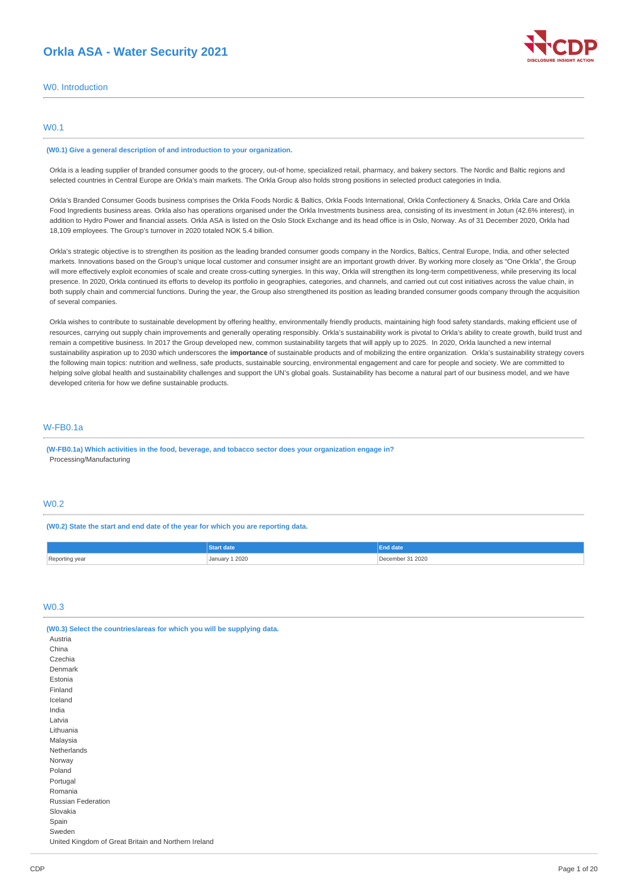# **Orkla ASA - Water Security 2021**



W0. Introduction

## W0.1

#### **(W0.1) Give a general description of and introduction to your organization.**

Orkla is a leading supplier of branded consumer goods to the grocery, out-of home, specialized retail, pharmacy, and bakery sectors. The Nordic and Baltic regions and selected countries in Central Europe are Orkla's main markets. The Orkla Group also holds strong positions in selected product categories in India.

Orkla's Branded Consumer Goods business comprises the Orkla Foods Nordic & Baltics, Orkla Foods International, Orkla Confectionery & Snacks, Orkla Care and Orkla Food Ingredients business areas. Orkla also has operations organised under the Orkla Investments business area, consisting of its investment in Jotun (42.6% interest), in addition to Hydro Power and financial assets. Orkla ASA is listed on the Oslo Stock Exchange and its head office is in Oslo, Norway. As of 31 December 2020, Orkla had 18,109 employees. The Group's turnover in 2020 totaled NOK 5.4 billion.

Orkla's strategic objective is to strengthen its position as the leading branded consumer goods company in the Nordics, Baltics, Central Europe, India, and other selected markets. Innovations based on the Group's unique local customer and consumer insight are an important growth driver. By working more closely as "One Orkla", the Group will more effectively exploit economies of scale and create cross-cutting synergies. In this way, Orkla will strengthen its long-term competitiveness, while preserving its local presence. In 2020, Orkla continued its efforts to develop its portfolio in geographies, categories, and channels, and carried out cut cost initiatives across the value chain, in both supply chain and commercial functions. During the year, the Group also strengthened its position as leading branded consumer goods company through the acquisition of several companies.

Orkla wishes to contribute to sustainable development by offering healthy, environmentally friendly products, maintaining high food safety standards, making efficient use of resources, carrying out supply chain improvements and generally operating responsibly. Orkla's sustainability work is pivotal to Orkla's ability to create growth, build trust and remain a competitive business. In 2017 the Group developed new, common sustainability targets that will apply up to 2025. In 2020, Orkla launched a new internal sustainability aspiration up to 2030 which underscores the **importance** of sustainable products and of mobilizing the entire organization. Orkla's sustainability strategy covers the following main topics: nutrition and wellness, safe products, sustainable sourcing, environmental engagement and care for people and society. We are committed to helping solve global health and sustainability challenges and support the UN's global goals. Sustainability has become a natural part of our business model, and we have developed criteria for how we define sustainable products.

## W-FB0.1a

**(W-FB0.1a) Which activities in the food, beverage, and tobacco sector does your organization engage in?** Processing/Manufacturing

# W0.2

**(W0.2) State the start and end date of the year for which you are reporting data.**

|                     | tart date      | <b>End date</b>  |
|---------------------|----------------|------------------|
| Reporting ye<br>vea | January 1 2020 | December 31 2020 |

# W0.3

| (W0.3) Select the countries/areas for which you will be supplying data. |
|-------------------------------------------------------------------------|
| Austria                                                                 |
| China                                                                   |
| Czechia                                                                 |
| Denmark                                                                 |
| Estonia                                                                 |
| Finland                                                                 |
| Iceland                                                                 |
| India                                                                   |
| Latvia                                                                  |
| Lithuania                                                               |
| Malaysia                                                                |
| Netherlands                                                             |
| Norway                                                                  |
| Poland                                                                  |
| Portugal                                                                |
| Romania                                                                 |
| Russian Federation                                                      |
| Slovakia                                                                |
| Spain                                                                   |
| Sweden                                                                  |
| United Kingdom of Great Britain and Northern Ireland                    |
|                                                                         |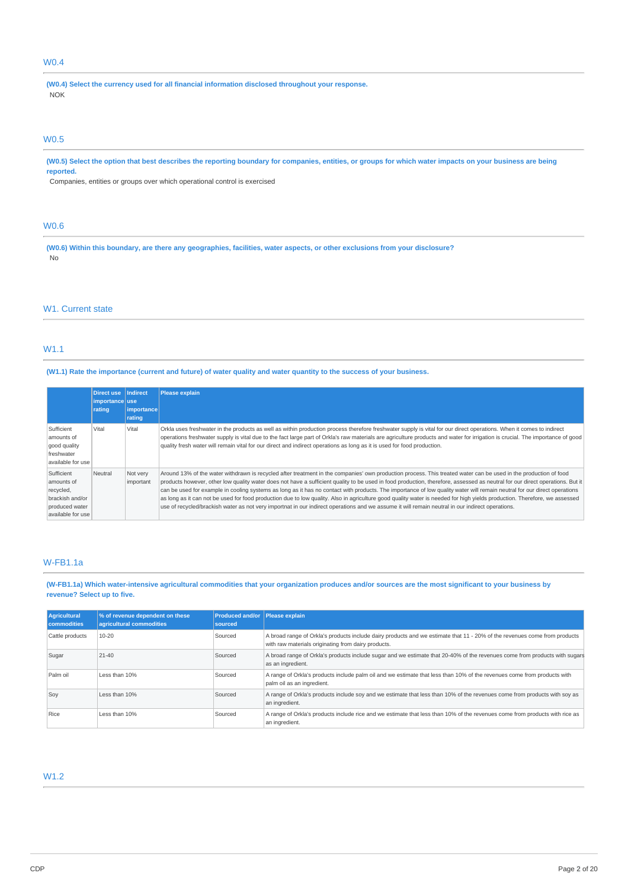# W0.4

**(W0.4) Select the currency used for all financial information disclosed throughout your response.** NOK

#### W0.5

(W0.5) Select the option that best describes the reporting boundary for companies, entities, or groups for which water impacts on your business are being **reported.**

Companies, entities or groups over which operational control is exercised

# W0.6

(W0.6) Within this boundary, are there any geographies, facilities, water aspects, or other exclusions from your disclosure? No

## W1. Current state

## W1.1

## (W1.1) Rate the importance (current and future) of water quality and water quantity to the success of your business.

|                                                                                                 | Direct use<br>importance use<br>rating | <b>Indirect</b><br>importance<br>rating | Please explain                                                                                                                                                                                                                                                                                                                                                                                                                                                                                                                                                                                                                                                                                                                                                                                                                                                |
|-------------------------------------------------------------------------------------------------|----------------------------------------|-----------------------------------------|---------------------------------------------------------------------------------------------------------------------------------------------------------------------------------------------------------------------------------------------------------------------------------------------------------------------------------------------------------------------------------------------------------------------------------------------------------------------------------------------------------------------------------------------------------------------------------------------------------------------------------------------------------------------------------------------------------------------------------------------------------------------------------------------------------------------------------------------------------------|
| Sufficient<br>amounts of<br>good quality<br>freshwater<br>available for use                     | Vital                                  | Vital                                   | Orkla uses freshwater in the products as well as within production process therefore freshwater supply is vital for our direct operations. When it comes to indirect<br>operations freshwater supply is vital due to the fact large part of Orkla's raw materials are agriculture products and water for irrigation is crucial. The importance of good<br>quality fresh water will remain vital for our direct and indirect operations as long as it is used for food production.                                                                                                                                                                                                                                                                                                                                                                             |
| Sufficient<br>amounts of<br>recycled,<br>brackish and/or<br>produced water<br>available for use | Neutral                                | Not very<br>important                   | Around 13% of the water withdrawn is recycled after treatment in the companies' own production process. This treated water can be used in the production of food<br>products however, other low quality water does not have a sufficient quality to be used in food production, therefore, assessed as neutral for our direct operations. But it<br>can be used for example in cooling systems as long as it has no contact with products. The importance of low quality water will remain neutral for our direct operations<br>as long as it can not be used for food production due to low quality. Also in agriculture good quality water is needed for high yields production. Therefore, we assessed<br>use of recycled/brackish water as not very importnat in our indirect operations and we assume it will remain neutral in our indirect operations. |

# W-FB1.1a

## (W-FB1.1a) Which water-intensive agricultural commodities that your organization produces and/or sources are the most significant to your business by **revenue? Select up to five.**

| Agricultural<br><b>commodities</b> | % of revenue dependent on these<br>agricultural commodities | <b>Produced and/or Please explain</b><br>sourced |                                                                                                                                                                                  |
|------------------------------------|-------------------------------------------------------------|--------------------------------------------------|----------------------------------------------------------------------------------------------------------------------------------------------------------------------------------|
| Cattle products                    | 10-20                                                       | Sourced                                          | A broad range of Orkla's products include dairy products and we estimate that 11 - 20% of the revenues come from products<br>with raw materials originating from dairy products. |
| Sugar                              | $21 - 40$                                                   | Sourced                                          | A broad range of Orkla's products include sugar and we estimate that 20-40% of the revenues come from products with sugars<br>as an ingredient.                                  |
| Palm oil                           | Less than 10%                                               | Sourced                                          | A range of Orkla's products include palm oil and we estimate that less than 10% of the revenues come from products with<br>palm oil as an ingredient.                            |
| Soy                                | Less than 10%                                               | Sourced                                          | A range of Orkla's products include soy and we estimate that less than 10% of the revenues come from products with soy as<br>an ingredient.                                      |
| Rice                               | Less than 10%                                               | Sourced                                          | A range of Orkla's products include rice and we estimate that less than 10% of the revenues come from products with rice as<br>an ingredient.                                    |

# W1.2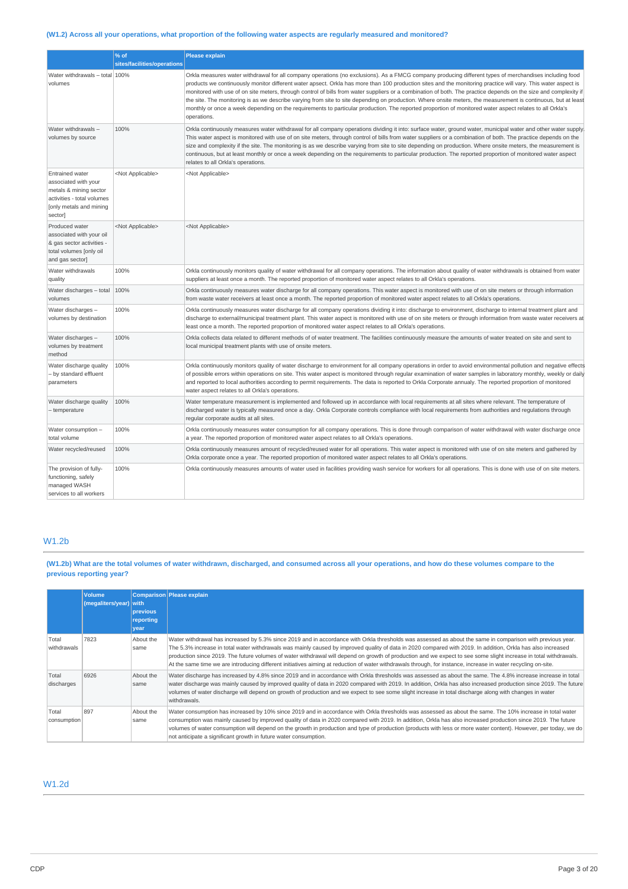# (W1.2) Across all your operations, what proportion of the following water aspects are regularly measured and monitored?

|                                                                                                                                              | % of                        | <b>Please explain</b>                                                                                                                                                                                                                                                                                                                                                                                                                                                                                                                                                                                                                                                                                                                                                                                                                   |
|----------------------------------------------------------------------------------------------------------------------------------------------|-----------------------------|-----------------------------------------------------------------------------------------------------------------------------------------------------------------------------------------------------------------------------------------------------------------------------------------------------------------------------------------------------------------------------------------------------------------------------------------------------------------------------------------------------------------------------------------------------------------------------------------------------------------------------------------------------------------------------------------------------------------------------------------------------------------------------------------------------------------------------------------|
|                                                                                                                                              | sites/facilities/operations |                                                                                                                                                                                                                                                                                                                                                                                                                                                                                                                                                                                                                                                                                                                                                                                                                                         |
| Water withdrawals - total 100%<br>volumes                                                                                                    |                             | Orkla measures water withdrawal for all company operations (no exclusions). As a FMCG company producing different types of merchandises including food<br>products we continuously monitor different water apsect. Orkla has more than 100 production sites and the monitoring practice will vary. This water aspect is<br>monitored with use of on site meters, through control of bills from water suppliers or a combination of both. The practice depends on the size and complexity if<br>the site. The monitoring is as we describe varying from site to site depending on production. Where onsite meters, the measurement is continuous, but at least<br>monthly or once a week depending on the requirements to particular production. The reported proportion of monitored water aspect relates to all Orkla's<br>operations. |
| Water withdrawals -<br>volumes by source                                                                                                     | 100%                        | Orkla continuously measures water withdrawal for all company operations dividing it into: surface water, ground water, municipal water and other water supply<br>This water aspect is monitored with use of on site meters, through control of bills from water suppliers or a combination of both. The practice depends on the<br>size and complexity if the site. The monitoring is as we describe varying from site to site depending on production. Where onsite meters, the measurement is<br>continuous, but at least monthly or once a week depending on the requirements to particular production. The reported proportion of monitored water aspect<br>relates to all Orkla's operations.                                                                                                                                      |
| <b>Entrained water</b><br>associated with your<br>metals & mining sector<br>activities - total volumes<br>[only metals and mining<br>sector] | <not applicable=""></not>   | <not applicable=""></not>                                                                                                                                                                                                                                                                                                                                                                                                                                                                                                                                                                                                                                                                                                                                                                                                               |
| Produced water<br>associated with your oil<br>& gas sector activities -<br>total volumes [only oil<br>and gas sector]                        | <not applicable=""></not>   | <not applicable=""></not>                                                                                                                                                                                                                                                                                                                                                                                                                                                                                                                                                                                                                                                                                                                                                                                                               |
| Water withdrawals<br>quality                                                                                                                 | 100%                        | Orkla continuously monitors quality of water withdrawal for all company operations. The information about quality of water withdrawals is obtained from water<br>suppliers at least once a month. The reported proportion of monitored water aspect relates to all Orkla's operations.                                                                                                                                                                                                                                                                                                                                                                                                                                                                                                                                                  |
| Water discharges - total<br>volumes                                                                                                          | 100%                        | Orkla continuously measures water discharge for all company operations. This water aspect is monitored with use of on site meters or through information<br>from waste water receivers at least once a month. The reported proportion of monitored water aspect relates to all Orkla's operations.                                                                                                                                                                                                                                                                                                                                                                                                                                                                                                                                      |
| Water discharges -<br>volumes by destination                                                                                                 | 100%                        | Orkla continuously measures water discharge for all company operations dividing it into: discharge to environment, discharge to internal treatment plant and<br>discharge to external/municipal treatment plant. This water aspect is monitored with use of on site meters or through information from waste water receivers at<br>least once a month. The reported proportion of monitored water aspect relates to all Orkla's operations.                                                                                                                                                                                                                                                                                                                                                                                             |
| Water discharges -<br>volumes by treatment<br>method                                                                                         | 100%                        | Orkla collects data related to different methods of of water treatment. The facilities continuously measure the amounts of water treated on site and sent to<br>local municipal treatment plants with use of onsite meters.                                                                                                                                                                                                                                                                                                                                                                                                                                                                                                                                                                                                             |
| Water discharge quality<br>- by standard effluent<br>parameters                                                                              | 100%                        | Orkla continuously monitors quality of water discharge to environment for all company operations in order to avoid environmental pollution and negative effects<br>of possible errors within operations on site. This water aspect is monitored through regular examination of water samples in laboratory monthly, weekly or daily<br>and reported to local authorities according to permit requirements. The data is reported to Orkla Corporate annualy. The reported proportion of monitored<br>water aspect relates to all Orkla's operations.                                                                                                                                                                                                                                                                                     |
| Water discharge quality<br>- temperature                                                                                                     | 100%                        | Water temperature measurement is implemented and followed up in accordance with local requirements at all sites where relevant. The temperature of<br>discharged water is typically measured once a day. Orkla Corporate controls compliance with local requirements from authorities and regulations through<br>regular corporate audits at all sites.                                                                                                                                                                                                                                                                                                                                                                                                                                                                                 |
| Water consumption -<br>total volume                                                                                                          | 100%                        | Orkla continuously measures water consumption for all company operations. This is done through comparison of water withdrawal with water discharge once<br>a year. The reported proportion of monitored water aspect relates to all Orkla's operations.                                                                                                                                                                                                                                                                                                                                                                                                                                                                                                                                                                                 |
| Water recycled/reused                                                                                                                        | 100%                        | Orkla continuously measures amount of recycled/reused water for all operations. This water aspect is monitored with use of on site meters and gathered by<br>Orkla corporate once a year. The reported proportion of monitored water aspect relates to all Orkla's operations.                                                                                                                                                                                                                                                                                                                                                                                                                                                                                                                                                          |
| The provision of fully-<br>functioning, safely<br>managed WASH<br>services to all workers                                                    | 100%                        | Orkla continuously measures amounts of water used in facilities providing wash service for workers for all operations. This is done with use of on site meters.                                                                                                                                                                                                                                                                                                                                                                                                                                                                                                                                                                                                                                                                         |

# W1.2b

(W1.2b) What are the total volumes of water withdrawn, discharged, and consumed across all your operations, and how do these volumes compare to the **previous reporting year?**

|                      | <b>Volume</b><br>(megaliters/year) with | previous<br>reporting<br>year | Comparison Please explain                                                                                                                                                                                                                                                                                                                                                                                                                                                                                                                                                                                                                                         |
|----------------------|-----------------------------------------|-------------------------------|-------------------------------------------------------------------------------------------------------------------------------------------------------------------------------------------------------------------------------------------------------------------------------------------------------------------------------------------------------------------------------------------------------------------------------------------------------------------------------------------------------------------------------------------------------------------------------------------------------------------------------------------------------------------|
| Total<br>withdrawals | 7823                                    | About the<br>same             | Water withdrawal has increased by 5.3% since 2019 and in accordance with Orkla thresholds was assessed as about the same in comparison with previous year.<br>The 5.3% increase in total water withdrawals was mainly caused by improved quality of data in 2020 compared with 2019. In addition, Orkla has also increased<br>production since 2019. The future volumes of water withdrawal will depend on growth of production and we expect to see some slight increase in total withdrawals.<br>At the same time we are introducing different initiatives aiming at reduction of water withdrawals through, for instance, increase in water recycling on-site. |
| Total<br>discharges  | 6926                                    | About the<br>same             | Water discharge has increased by 4.8% since 2019 and in accordance with Orkla thresholds was assessed as about the same. The 4.8% increase increase in total<br>water discharge was mainly caused by improved quality of data in 2020 compared with 2019. In addition, Orkla has also increased production since 2019. The future<br>volumes of water discharge will depend on growth of production and we expect to see some slight increase in total discharge along with changes in water<br>withdrawals.                                                                                                                                                      |
| Total<br>consumption | 897                                     | About the<br>same             | Water consumption has increased by 10% since 2019 and in accordance with Orkla thresholds was assessed as about the same. The 10% increase in total water<br>consumption was mainly caused by improved quality of data in 2020 compared with 2019. In addition, Orkla has also increased production since 2019. The future<br>volumes of water consumption will depend on the growth in production and type of production (products with less or more water content). However, per today, we do<br>not anticipate a significant growth in future water consumption.                                                                                               |

# W1.2d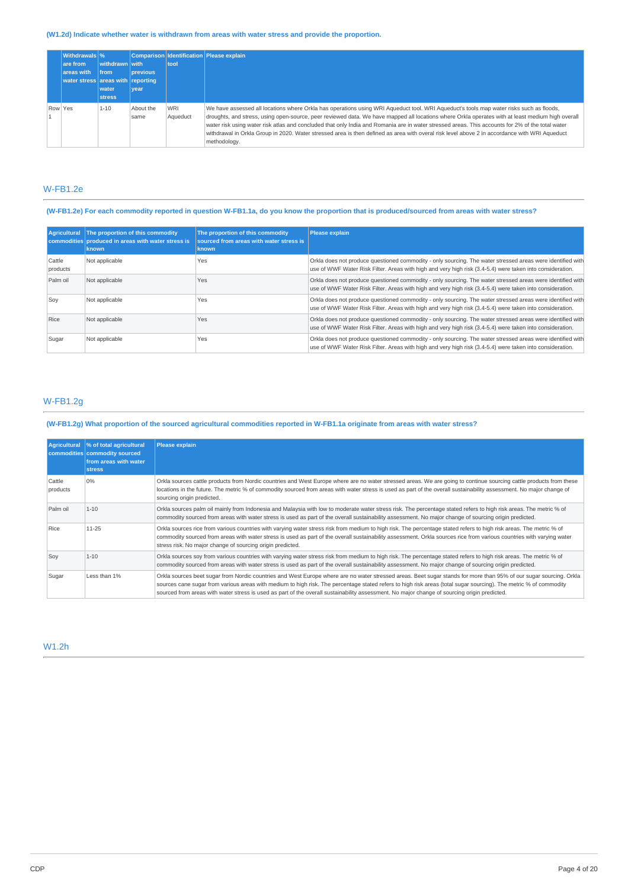# **(W1.2d) Indicate whether water is withdrawn from areas with water stress and provide the proportion.**

|         | <b>Withdrawals %</b>              |                |                 |            | Comparison Identification Please explain                                                                                                         |
|---------|-----------------------------------|----------------|-----------------|------------|--------------------------------------------------------------------------------------------------------------------------------------------------|
|         | are from                          | withdrawn with |                 | tool       |                                                                                                                                                  |
|         | areas with                        | <b>Ifrom</b>   | <b>previous</b> |            |                                                                                                                                                  |
|         | water stress areas with reporting |                |                 |            |                                                                                                                                                  |
|         |                                   | water          | vear            |            |                                                                                                                                                  |
|         |                                   | <b>stress</b>  |                 |            |                                                                                                                                                  |
| Row Yes |                                   | 1-10           | About the       | <b>WRI</b> | We have assessed all locations where Orkla has operations using WRI Aqueduct tool. WRI Aqueduct's tools map water risks such as floods,          |
|         |                                   |                | same            | Aqueduct   | droughts, and stress, using open-source, peer reviewed data. We have mapped all locations where Orkla operates with at least medium high overall |
|         |                                   |                |                 |            | water risk using water risk atlas and concluded that only India and Romania are in water stressed areas. This accounts for 2% of the total water |
|         |                                   |                |                 |            | withdrawal in Orkla Group in 2020. Water stressed area is then defined as area with overal risk level above 2 in accordance with WRI Aqueduct    |
|         |                                   |                |                 |            | methodology.                                                                                                                                     |

# W-FB1.2e

# (W-FB1.2e) For each commodity reported in question W-FB1.1a, do you know the proportion that is produced/sourced from areas with water stress?

| Agricultural       | The proportion of this commodity<br>commodities produced in areas with water stress is<br>known | The proportion of this commodity<br>sourced from areas with water stress is<br><b>known</b> | Please explain                                                                                                                                                                                                          |
|--------------------|-------------------------------------------------------------------------------------------------|---------------------------------------------------------------------------------------------|-------------------------------------------------------------------------------------------------------------------------------------------------------------------------------------------------------------------------|
| Cattle<br>products | Not applicable                                                                                  | Yes                                                                                         | Orkla does not produce questioned commodity - only sourcing. The water stressed areas were identified with<br>use of WWF Water Risk Filter. Areas with high and very high risk (3.4-5.4) were taken into consideration. |
| Palm oil           | Not applicable                                                                                  | Yes                                                                                         | Orkla does not produce questioned commodity - only sourcing. The water stressed areas were identified with<br>use of WWF Water Risk Filter. Areas with high and very high risk (3.4-5.4) were taken into consideration. |
| Soy                | Not applicable                                                                                  | Yes                                                                                         | Orkla does not produce questioned commodity - only sourcing. The water stressed areas were identified with<br>use of WWF Water Risk Filter. Areas with high and very high risk (3.4-5.4) were taken into consideration. |
| Rice               | Not applicable                                                                                  | Yes                                                                                         | Orkla does not produce questioned commodity - only sourcing. The water stressed areas were identified with<br>use of WWF Water Risk Filter. Areas with high and very high risk (3.4-5.4) were taken into consideration. |
| Sugar              | Not applicable                                                                                  | Yes                                                                                         | Orkla does not produce questioned commodity - only sourcing. The water stressed areas were identified with<br>use of WWF Water Risk Filter. Areas with high and very high risk (3.4-5.4) were taken into consideration. |

# W-FB1.2g

## (W-FB1.2g) What proportion of the sourced agricultural commodities reported in W-FB1.1a originate from areas with water stress?

| <b>Agricultural</b> | % of total agricultural<br>commodities commodity sourced<br>from areas with water<br><b>stress</b> | <b>Please explain</b>                                                                                                                                                                                                                                                                                                                                                                                                                                                                   |
|---------------------|----------------------------------------------------------------------------------------------------|-----------------------------------------------------------------------------------------------------------------------------------------------------------------------------------------------------------------------------------------------------------------------------------------------------------------------------------------------------------------------------------------------------------------------------------------------------------------------------------------|
| Cattle<br>products  | 0%                                                                                                 | Orkla sources cattle products from Nordic countries and West Europe where are no water stressed areas. We are going to continue sourcing cattle products from these<br>locations in the future. The metric % of commodity sourced from areas with water stress is used as part of the overall sustainability assessment. No major change of<br>sourcing origin predicted.                                                                                                               |
| Palm oil            | $1 - 10$                                                                                           | Orkla sources palm oil mainly from Indonesia and Malaysia with low to moderate water stress risk. The percentage stated refers to high risk areas. The metric % of<br>commodity sourced from areas with water stress is used as part of the overall sustainability assessment. No major change of sourcing origin predicted.                                                                                                                                                            |
| Rice                | $11 - 25$                                                                                          | Orkla sources rice from various countries with varying water stress risk from medium to high risk. The percentage stated refers to high risk areas. The metric % of<br>commodity sourced from areas with water stress is used as part of the overall sustainability assessment. Orkla sources rice from various countries with varying water<br>stress risk. No major change of sourcing origin predicted.                                                                              |
| Soy                 | $1 - 10$                                                                                           | Orkla sources soy from various countries with varying water stress risk from medium to high risk. The percentage stated refers to high risk areas. The metric % of<br>commodity sourced from areas with water stress is used as part of the overall sustainability assessment. No major change of sourcing origin predicted.                                                                                                                                                            |
| Sugar               | Less than 1%                                                                                       | Orkla sources beet sugar from Nordic countries and West Europe where are no water stressed areas. Beet sugar stands for more than 95% of our sugar sourcing. Orkla<br>sources cane sugar from various areas with medium to high risk. The percentage stated refers to high risk areas (total sugar sourcing). The metric % of commodity<br>sourced from areas with water stress is used as part of the overall sustainability assessment. No major change of sourcing origin predicted. |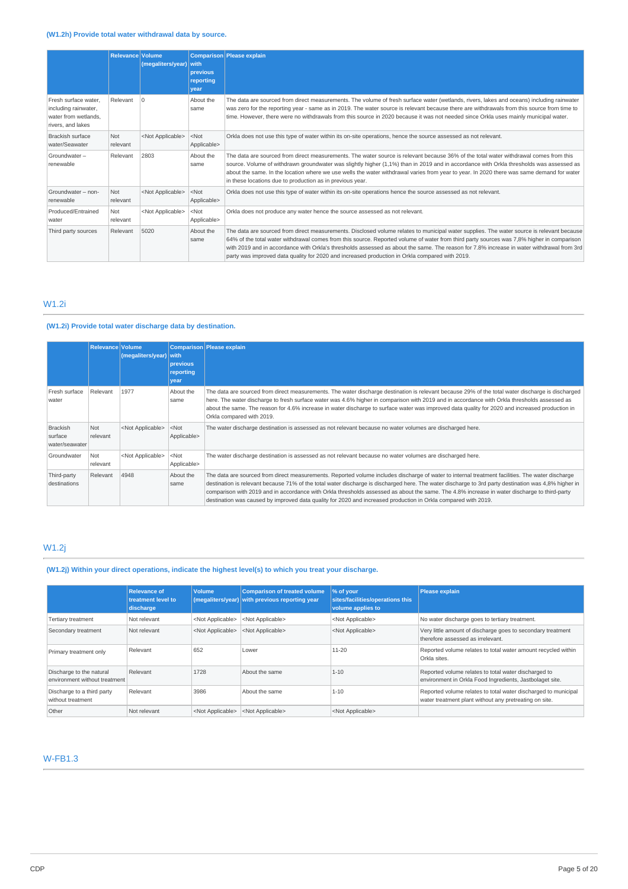# **(W1.2h) Provide total water withdrawal data by source.**

|                                                                                           | Relevance Volume | (megaliters/year)         | with<br>previous<br>reporting<br>vear | <b>Comparison</b> Please explain                                                                                                                                                                                                                                                                                                                                                                                                                                                                                                      |
|-------------------------------------------------------------------------------------------|------------------|---------------------------|---------------------------------------|---------------------------------------------------------------------------------------------------------------------------------------------------------------------------------------------------------------------------------------------------------------------------------------------------------------------------------------------------------------------------------------------------------------------------------------------------------------------------------------------------------------------------------------|
| Fresh surface water.<br>including rainwater,<br>water from wetlands.<br>rivers, and lakes | Relevant         | $\Omega$                  | About the<br>same                     | The data are sourced from direct measurements. The volume of fresh surface water (wetlands, rivers, lakes and oceans) including rainwater<br>was zero for the reporting year - same as in 2019. The water source is relevant because there are withdrawals from this source from time to<br>time. However, there were no withdrawals from this source in 2020 because it was not needed since Orkla uses mainly municipal water.                                                                                                      |
| <b>Brackish surface</b><br>water/Seawater                                                 | Not<br>relevant  | <not applicable=""></not> | $<$ Not<br>Applicable>                | Orkla does not use this type of water within its on-site operations, hence the source assessed as not relevant.                                                                                                                                                                                                                                                                                                                                                                                                                       |
| Groundwater-<br>renewable                                                                 | Relevant         | 2803                      | About the<br>same                     | The data are sourced from direct measurements. The water source is relevant because 36% of the total water withdrawal comes from this<br>source. Volume of withdrawn groundwater was slightly higher (1,1%) than in 2019 and in accordance with Orkla thresholds was assessed as<br>about the same. In the location where we use wells the water withdrawal varies from year to year. In 2020 there was same demand for water<br>in these locations due to production as in previous year.                                            |
| Groundwater - non-<br>renewable                                                           | Not<br>relevant  | <not applicable=""></not> | $<$ Not<br>Applicable>                | Orkla does not use this type of water within its on-site operations hence the source assessed as not relevant.                                                                                                                                                                                                                                                                                                                                                                                                                        |
| Produced/Entrained<br>water                                                               | Not<br>relevant  | <not applicable=""></not> | $<$ Not<br>Applicable>                | Orkla does not produce any water hence the source assessed as not relevant.                                                                                                                                                                                                                                                                                                                                                                                                                                                           |
| Third party sources                                                                       | Relevant         | 5020                      | About the<br>same                     | The data are sourced from direct measurements. Disclosed volume relates to municipal water supplies. The water source is relevant because<br>64% of the total water withdrawal comes from this source. Reported volume of water from third party sources was 7,8% higher in comparison<br>with 2019 and in accordance with Orkla's thresholds assessed as about the same. The reason for 7.8% increase in water withdrawal from 3rd<br>party was improved data quality for 2020 and increased production in Orkla compared with 2019. |

# W1.2i

# **(W1.2i) Provide total water discharge data by destination.**

|                                              | Relevance Volume | (megaliters/year)         | with<br>previous<br>reporting<br>vear | Comparison Please explain                                                                                                                                                                                                                                                                                                                                                                                                                                                                                                                                                  |
|----------------------------------------------|------------------|---------------------------|---------------------------------------|----------------------------------------------------------------------------------------------------------------------------------------------------------------------------------------------------------------------------------------------------------------------------------------------------------------------------------------------------------------------------------------------------------------------------------------------------------------------------------------------------------------------------------------------------------------------------|
| Fresh surface<br>water                       | Relevant         | 1977                      | About the<br>same                     | The data are sourced from direct measurements. The water discharge destination is relevant because 29% of the total water discharge is discharged<br>here. The water discharge to fresh surface water was 4.6% higher in comparison with 2019 and in accordance with Orkla thresholds assessed as<br>about the same. The reason for 4.6% increase in water discharge to surface water was improved data quality for 2020 and increased production in<br>Orkla compared with 2019.                                                                                          |
| <b>Brackish</b><br>surface<br>water/seawater | Not<br>relevant  | <not applicable=""></not> | $<$ Not<br>Applicable>                | The water discharge destination is assessed as not relevant because no water volumes are discharged here.                                                                                                                                                                                                                                                                                                                                                                                                                                                                  |
| Groundwater                                  | Not<br>relevant  | <not applicable=""></not> | $<$ Not<br>Applicable>                | The water discharge destination is assessed as not relevant because no water volumes are discharged here.                                                                                                                                                                                                                                                                                                                                                                                                                                                                  |
| Third-party<br>destinations                  | Relevant         | 4948                      | About the<br>same                     | The data are sourced from direct measurements. Reported volume includes discharge of water to internal treatment facilities. The water discharge<br>destination is relevant because 71% of the total water discharge is discharged here. The water discharge to 3rd party destination was 4,8% higher in<br>comparison with 2019 and in accordance with Orkla thresholds assessed as about the same. The 4.8% increase in water discharge to third-party<br>destination was caused by improved data quality for 2020 and increased production in Orkla compared with 2019. |

# W1.2j

**(W1.2j) Within your direct operations, indicate the highest level(s) to which you treat your discharge.**

|                                                           | <b>Relevance of</b><br>treatment level to<br>discharge | <b>Volume</b>             | <b>Comparison of treated volume</b><br>(megaliters/year) with previous reporting year | 1% of your<br>sites/facilities/operations this<br>volume applies to | <b>Please explain</b>                                                                                                    |
|-----------------------------------------------------------|--------------------------------------------------------|---------------------------|---------------------------------------------------------------------------------------|---------------------------------------------------------------------|--------------------------------------------------------------------------------------------------------------------------|
| Tertiary treatment                                        | Not relevant                                           | <not applicable=""></not> | <not applicable=""></not>                                                             | <not applicable=""></not>                                           | No water discharge goes to tertiary treatment.                                                                           |
| Secondary treatment                                       | Not relevant                                           | <not applicable=""></not> | <not applicable=""></not>                                                             | <not applicable=""></not>                                           | Very little amount of discharge goes to secondary treatment<br>therefore assessed as irrelevant.                         |
| Primary treatment only                                    | Relevant                                               | 652                       | Lower                                                                                 | $11 - 20$                                                           | Reported volume relates to total water amount recycled within<br>Orkla sites.                                            |
| Discharge to the natural<br>environment without treatment | Relevant                                               | 1728                      | About the same                                                                        | $1 - 10$                                                            | Reported volume relates to total water discharged to<br>environment in Orkla Food Ingredients, Jastbolaget site.         |
| Discharge to a third party<br>without treatment           | Relevant                                               | 3986                      | About the same                                                                        | $1 - 10$                                                            | Reported volume relates to total water discharged to municipal<br>water treatment plant without any pretreating on site. |
| Other                                                     | Not relevant                                           | <not applicable=""></not> | <not applicable=""></not>                                                             | <not applicable=""></not>                                           |                                                                                                                          |

# W-FB1.3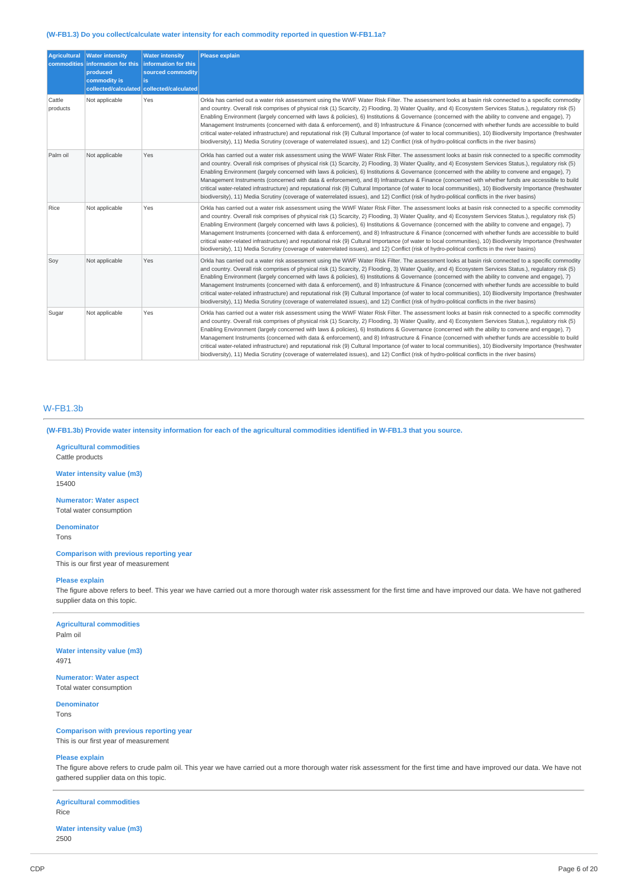## **(W-FB1.3) Do you collect/calculate water intensity for each commodity reported in question W-FB1.1a?**

| <b>Agricultural</b><br>commodities | <b>Water intensity</b><br>information for this<br>produced<br>commodity is | <b>Water intensity</b><br>information for this<br>sourced commodity<br>lis.<br>collected/calculated collected/calculated | <b>Please explain</b>                                                                                                                                                                                                                                                                                                                                                                                                                                                                                                                                                                                                                                                                                                                                                                                                                                                                                                                         |
|------------------------------------|----------------------------------------------------------------------------|--------------------------------------------------------------------------------------------------------------------------|-----------------------------------------------------------------------------------------------------------------------------------------------------------------------------------------------------------------------------------------------------------------------------------------------------------------------------------------------------------------------------------------------------------------------------------------------------------------------------------------------------------------------------------------------------------------------------------------------------------------------------------------------------------------------------------------------------------------------------------------------------------------------------------------------------------------------------------------------------------------------------------------------------------------------------------------------|
| Cattle<br>products                 | Not applicable                                                             | Yes                                                                                                                      | Orkla has carried out a water risk assessment using the WWF Water Risk Filter. The assessment looks at basin risk connected to a specific commodity<br>and country. Overall risk comprises of physical risk (1) Scarcity, 2) Flooding, 3) Water Quality, and 4) Ecosystem Services Status.), regulatory risk (5)<br>Enabling Environment (largely concerned with laws & policies), 6) Institutions & Governance (concerned with the ability to convene and engage), 7)<br>Management Instruments (concerned with data & enforcement), and 8) Infrastructure & Finance (concerned with whether funds are accessible to build<br>critical water-related infrastructure) and reputational risk (9) Cultural Importance (of water to local communities), 10) Biodiversity Importance (freshwater<br>biodiversity), 11) Media Scrutiny (coverage of waterrelated issues), and 12) Conflict (risk of hydro-political conflicts in the river basins) |
| Palm oil                           | Not applicable                                                             | Yes                                                                                                                      | Orkla has carried out a water risk assessment using the WWF Water Risk Filter. The assessment looks at basin risk connected to a specific commodity<br>and country. Overall risk comprises of physical risk (1) Scarcity, 2) Flooding, 3) Water Quality, and 4) Ecosystem Services Status.), requlatory risk (5)<br>Enabling Environment (largely concerned with laws & policies), 6) Institutions & Governance (concerned with the ability to convene and engage), 7)<br>Management Instruments (concerned with data & enforcement), and 8) Infrastructure & Finance (concerned with whether funds are accessible to build<br>critical water-related infrastructure) and reputational risk (9) Cultural Importance (of water to local communities), 10) Biodiversity Importance (freshwater<br>biodiversity), 11) Media Scrutiny (coverage of waterrelated issues), and 12) Conflict (risk of hydro-political conflicts in the river basins) |
| Rice                               | Not applicable                                                             | Yes                                                                                                                      | Orkla has carried out a water risk assessment using the WWF Water Risk Filter. The assessment looks at basin risk connected to a specific commodity<br>and country. Overall risk comprises of physical risk (1) Scarcity, 2) Flooding, 3) Water Quality, and 4) Ecosystem Services Status.), regulatory risk (5)<br>Enabling Environment (largely concerned with laws & policies), 6) Institutions & Governance (concerned with the ability to convene and engage), 7)<br>Management Instruments (concerned with data & enforcement), and 8) Infrastructure & Finance (concerned with whether funds are accessible to build<br>critical water-related infrastructure) and reputational risk (9) Cultural Importance (of water to local communities), 10) Biodiversity Importance (freshwater<br>biodiversity), 11) Media Scrutiny (coverage of waterrelated issues), and 12) Conflict (risk of hydro-political conflicts in the river basins) |
| Soy                                | Not applicable                                                             | Yes                                                                                                                      | Orkla has carried out a water risk assessment using the WWF Water Risk Filter. The assessment looks at basin risk connected to a specific commodity<br>and country. Overall risk comprises of physical risk (1) Scarcity, 2) Flooding, 3) Water Quality, and 4) Ecosystem Services Status.), regulatory risk (5)<br>Enabling Environment (largely concerned with laws & policies), 6) Institutions & Governance (concerned with the ability to convene and engage), 7)<br>Management Instruments (concerned with data & enforcement), and 8) Infrastructure & Finance (concerned with whether funds are accessible to build<br>critical water-related infrastructure) and reputational risk (9) Cultural Importance (of water to local communities), 10) Biodiversity Importance (freshwater<br>biodiversity), 11) Media Scrutiny (coverage of waterrelated issues), and 12) Conflict (risk of hydro-political conflicts in the river basins) |
| Sugar                              | Not applicable                                                             | Yes                                                                                                                      | Orkla has carried out a water risk assessment using the WWF Water Risk Filter. The assessment looks at basin risk connected to a specific commodity<br>and country. Overall risk comprises of physical risk (1) Scarcity, 2) Flooding, 3) Water Quality, and 4) Ecosystem Services Status.), requlatory risk (5)<br>Enabling Environment (largely concerned with laws & policies), 6) Institutions & Governance (concerned with the ability to convene and engage), 7)<br>Management Instruments (concerned with data & enforcement), and 8) Infrastructure & Finance (concerned with whether funds are accessible to build<br>critical water-related infrastructure) and reputational risk (9) Cultural Importance (of water to local communities), 10) Biodiversity Importance (freshwater<br>biodiversity), 11) Media Scrutiny (coverage of waterrelated issues), and 12) Conflict (risk of hydro-political conflicts in the river basins) |

## W-FB1.3b

(W-FB1.3b) Provide water intensity information for each of the agricultural commodities identified in W-FB1.3 that you source.

**Agricultural commodities** Cattle products

**Water intensity value (m3)** 15400

**Numerator: Water aspect** Total water consumption

**Denominator**

Tons

# **Comparison with previous reporting year**

This is our first year of measurement

## **Please explain**

The figure above refers to beef. This year we have carried out a more thorough water risk assessment for the first time and have improved our data. We have not gathered supplier data on this topic.

# **Agricultural commodities**

Palm oil

**Water intensity value (m3)** 4971

**Numerator: Water aspect** Total water consumption

# **Denominator**

Tons

#### **Comparison with previous reporting year** This is our first year of measurement

#### **Please explain**

The figure above refers to crude palm oil. This year we have carried out a more thorough water risk assessment for the first time and have improved our data. We have not gathered supplier data on this topic.

## **Agricultural commodities** Rice

#### **Water intensity value (m3)** 2500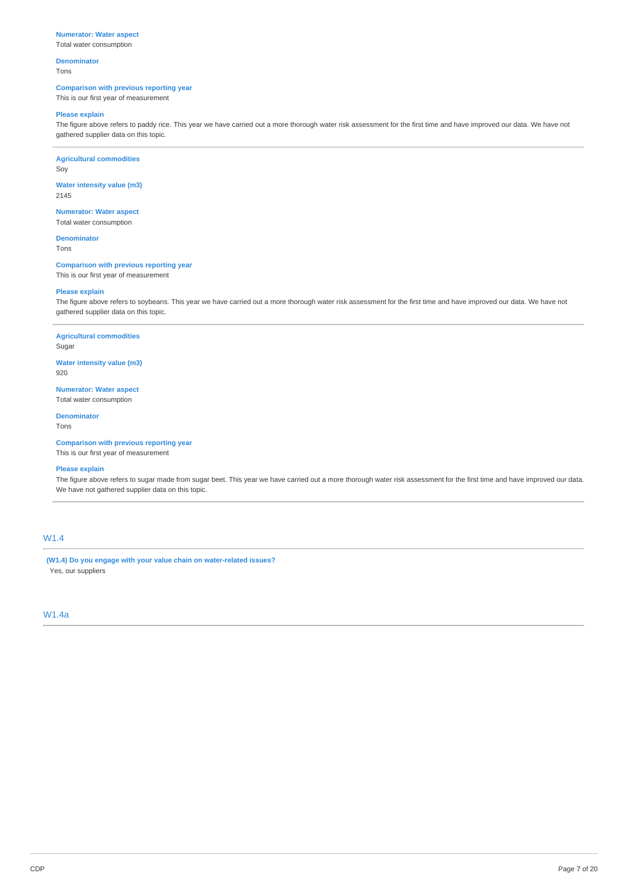## **Numerator: Water aspect**

Total water consumption

#### **Denominator** Tons

## **Comparison with previous reporting year**

This is our first year of measurement

#### **Please explain**

The figure above refers to paddy rice. This year we have carried out a more thorough water risk assessment for the first time and have improved our data. We have not gathered supplier data on this topic.

**Agricultural commodities** Soy

**Water intensity value (m3)** 2145

**Numerator: Water aspect** Total water consumption

**Denominator** Tons

**Comparison with previous reporting year** This is our first year of measurement

#### **Please explain**

The figure above refers to soybeans. This year we have carried out a more thorough water risk assessment for the first time and have improved our data. We have not gathered supplier data on this topic.

**Agricultural commodities** Sugar

**Water intensity value (m3)**

920

**Numerator: Water aspect** Total water consumption

#### **Denominator** Tons

**Comparison with previous reporting year** This is our first year of measurement

# **Please explain**

The figure above refers to sugar made from sugar beet. This year we have carried out a more thorough water risk assessment for the first time and have improved our data. We have not gathered supplier data on this topic.

# W1.4

**(W1.4) Do you engage with your value chain on water-related issues?** Yes, our suppliers

## W1.4a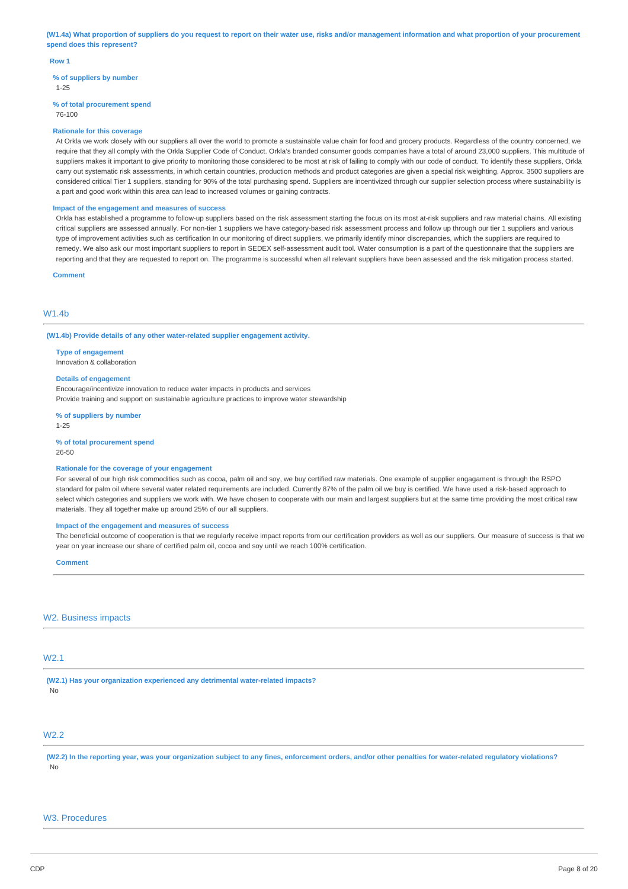(W1.4a) What proportion of suppliers do you request to report on their water use, risks and/or management information and what proportion of your procurement **spend does this represent?**

#### **Row 1**

**% of suppliers by number**

1-25

#### **% of total procurement spend**

76-100

#### **Rationale for this coverage**

At Orkla we work closely with our suppliers all over the world to promote a sustainable value chain for food and grocery products. Regardless of the country concerned, we require that they all comply with the Orkla Supplier Code of Conduct. Orkla's branded consumer goods companies have a total of around 23,000 suppliers. This multitude of suppliers makes it important to give priority to monitoring those considered to be most at risk of failing to comply with our code of conduct. To identify these suppliers, Orkla carry out systematic risk assessments, in which certain countries, production methods and product categories are given a special risk weighting. Approx. 3500 suppliers are considered critical Tier 1 suppliers, standing for 90% of the total purchasing spend. Suppliers are incentivized through our supplier selection process where sustainability is a part and good work within this area can lead to increased volumes or gaining contracts.

#### **Impact of the engagement and measures of success**

Orkla has established a programme to follow-up suppliers based on the risk assessment starting the focus on its most at-risk suppliers and raw material chains. All existing critical suppliers are assessed annually. For non-tier 1 suppliers we have category-based risk assessment process and follow up through our tier 1 suppliers and various type of improvement activities such as certification In our monitoring of direct suppliers, we primarily identify minor discrepancies, which the suppliers are required to remedy. We also ask our most important suppliers to report in SEDEX self-assessment audit tool. Water consumption is a part of the questionnaire that the suppliers are reporting and that they are requested to report on. The programme is successful when all relevant suppliers have been assessed and the risk mitigation process started.

**Comment**

#### W<sub>1</sub> 4h

#### **(W1.4b) Provide details of any other water-related supplier engagement activity.**

**Type of engagement**

Innovation & collaboration

#### **Details of engagement**

Encourage/incentivize innovation to reduce water impacts in products and services Provide training and support on sustainable agriculture practices to improve water stewardship

**% of suppliers by number**

1-25

#### **% of total procurement spend**

26-50

#### **Rationale for the coverage of your engagement**

For several of our high risk commodities such as cocoa, palm oil and soy, we buy certified raw materials. One example of supplier engagament is through the RSPO standard for palm oil where several water related requirements are included. Currently 87% of the palm oil we buy is certified. We have used a risk-based approach to select which categories and suppliers we work with. We have chosen to cooperate with our main and largest suppliers but at the same time providing the most critical raw materials. They all together make up around 25% of our all suppliers.

## **Impact of the engagement and measures of success**

The beneficial outcome of cooperation is that we regularly receive impact reports from our certification providers as well as our suppliers. Our measure of success is that we year on year increase our share of certified palm oil, cocoa and soy until we reach 100% certification.

#### **Comment**

#### W<sub>2</sub>. Business impacts

## W2.1

**(W2.1) Has your organization experienced any detrimental water-related impacts?** No

# W2.2

(W2.2) In the reporting year, was your organization subject to any fines, enforcement orders, and/or other penalties for water-related regulatory violations? No

## W3. Procedures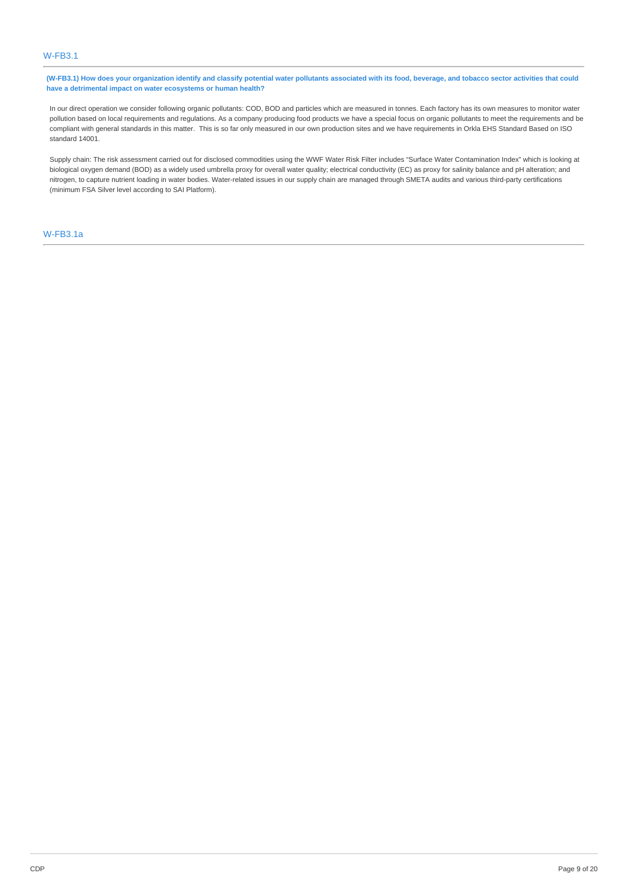(W-FB3.1) How does your organization identify and classify potential water pollutants associated with its food, beverage, and tobacco sector activities that could **have a detrimental impact on water ecosystems or human health?**

In our direct operation we consider following organic pollutants: COD, BOD and particles which are measured in tonnes. Each factory has its own measures to monitor water pollution based on local requirements and regulations. As a company producing food products we have a special focus on organic pollutants to meet the requirements and be compliant with general standards in this matter. This is so far only measured in our own production sites and we have requirements in Orkla EHS Standard Based on ISO standard 14001.

Supply chain: The risk assessment carried out for disclosed commodities using the WWF Water Risk Filter includes "Surface Water Contamination Index" which is looking at biological oxygen demand (BOD) as a widely used umbrella proxy for overall water quality; electrical conductivity (EC) as proxy for salinity balance and pH alteration; and nitrogen, to capture nutrient loading in water bodies. Water-related issues in our supply chain are managed through SMETA audits and various third-party certifications (minimum FSA Silver level according to SAI Platform).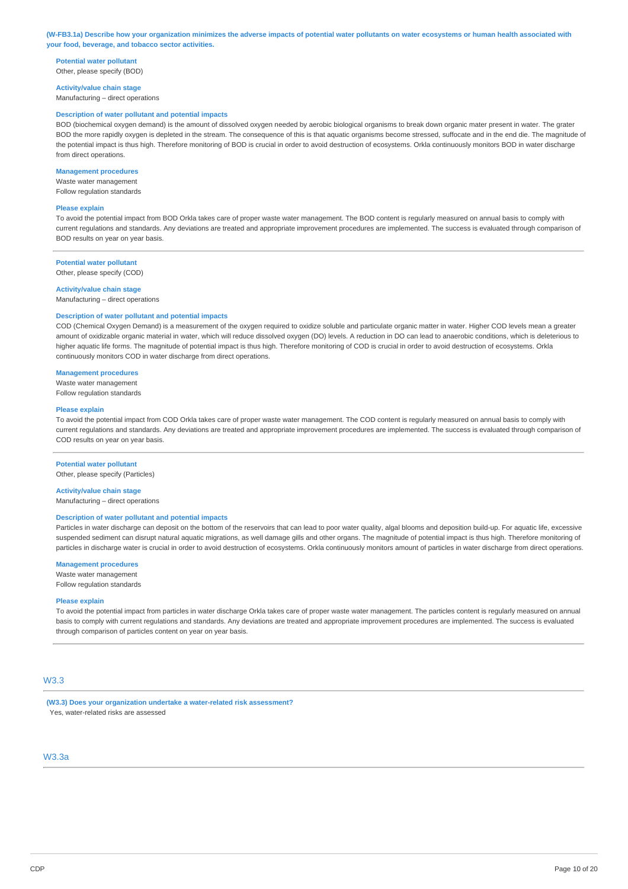#### (W-FB3.1a) Describe how your organization minimizes the adverse impacts of potential water pollutants on water ecosystems or human health associated with **your food, beverage, and tobacco sector activities.**

**Potential water pollutant** Other, please specify (BOD)

**Activity/value chain stage** Manufacturing – direct operations

#### **Description of water pollutant and potential impacts**

BOD (biochemical oxygen demand) is the amount of dissolved oxygen needed by aerobic biological organisms to break down organic mater present in water. The grater BOD the more rapidly oxygen is depleted in the stream. The consequence of this is that aquatic organisms become stressed, suffocate and in the end die. The magnitude of the potential impact is thus high. Therefore monitoring of BOD is crucial in order to avoid destruction of ecosystems. Orkla continuously monitors BOD in water discharge from direct operations.

#### **Management procedures**

Waste water management Follow regulation standards

#### **Please explain**

To avoid the potential impact from BOD Orkla takes care of proper waste water management. The BOD content is regularly measured on annual basis to comply with current regulations and standards. Any deviations are treated and appropriate improvement procedures are implemented. The success is evaluated through comparison of BOD results on year on year basis.

#### **Potential water pollutant**

Other, please specify (COD)

#### **Activity/value chain stage**

Manufacturing – direct operations

#### **Description of water pollutant and potential impacts**

COD (Chemical Oxygen Demand) is a measurement of the oxygen required to oxidize soluble and particulate organic matter in water. Higher COD levels mean a greater amount of oxidizable organic material in water, which will reduce dissolved oxygen (DO) levels. A reduction in DO can lead to anaerobic conditions, which is deleterious to higher aquatic life forms. The magnitude of potential impact is thus high. Therefore monitoring of COD is crucial in order to avoid destruction of ecosystems. Orkla continuously monitors COD in water discharge from direct operations.

#### **Management procedures**

Waste water management Follow regulation standards

#### **Please explain**

To avoid the potential impact from COD Orkla takes care of proper waste water management. The COD content is regularly measured on annual basis to comply with current regulations and standards. Any deviations are treated and appropriate improvement procedures are implemented. The success is evaluated through comparison of COD results on year on year basis.

#### **Potential water pollutant**

Other, please specify (Particles)

#### **Activity/value chain stage**

Manufacturing – direct operations

#### **Description of water pollutant and potential impacts**

Particles in water discharge can deposit on the bottom of the reservoirs that can lead to poor water quality, algal blooms and deposition build-up. For aquatic life, excessive suspended sediment can disrupt natural aquatic migrations, as well damage gills and other organs. The magnitude of potential impact is thus high. Therefore monitoring of particles in discharge water is crucial in order to avoid destruction of ecosystems. Orkla continuously monitors amount of particles in water discharge from direct operations.

#### **Management procedures**

Waste water management Follow regulation standards

#### **Please explain**

To avoid the potential impact from particles in water discharge Orkla takes care of proper waste water management. The particles content is regularly measured on annual basis to comply with current regulations and standards. Any deviations are treated and appropriate improvement procedures are implemented. The success is evaluated through comparison of particles content on year on year basis.

## $M2.3$

**(W3.3) Does your organization undertake a water-related risk assessment?** Yes, water-related risks are assessed

# W3.3a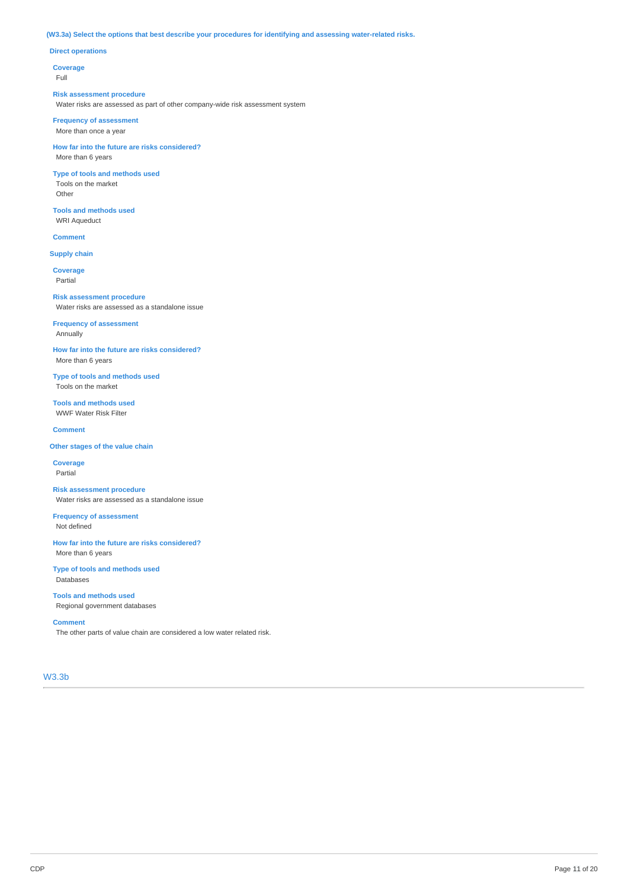## **(W3.3a) Select the options that best describe your procedures for identifying and assessing water-related risks.**

## **Direct operations**

**Coverage**

Full

#### **Risk assessment procedure**

Water risks are assessed as part of other company-wide risk assessment system

#### **Frequency of assessment** More than once a year

**How far into the future are risks considered?** More than 6 years

### **Type of tools and methods used** Tools on the market

Other

## **Tools and methods used** WRI Aqueduct

# **Comment**

**Supply chain**

### **Coverage** Partial

**Risk assessment procedure** Water risks are assessed as a standalone issue

## **Frequency of assessment** Annually

**How far into the future are risks considered?** More than 6 years

## **Type of tools and methods used** Tools on the market

**Tools and methods used** WWF Water Risk Filter

#### **Comment**

## **Other stages of the value chain**

**Coverage** Partial

### **Risk assessment procedure** Water risks are assessed as a standalone issue

**Frequency of assessment** Not defined

## **How far into the future are risks considered?** More than 6 years

**Type of tools and methods used** Databases

## **Tools and methods used** Regional government databases

#### **Comment**

The other parts of value chain are considered a low water related risk.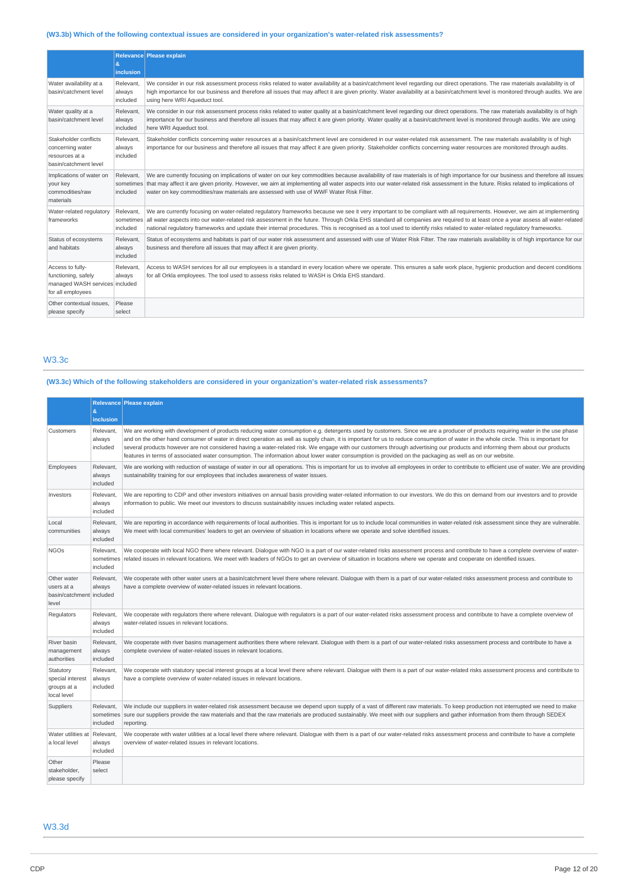# **(W3.3b) Which of the following contextual issues are considered in your organization's water-related risk assessments?**

|                                                                                                | &<br>inclusion                     | Relevance Please explain                                                                                                                                                                                                                                                                                                                                                                                                                                                                                                               |
|------------------------------------------------------------------------------------------------|------------------------------------|----------------------------------------------------------------------------------------------------------------------------------------------------------------------------------------------------------------------------------------------------------------------------------------------------------------------------------------------------------------------------------------------------------------------------------------------------------------------------------------------------------------------------------------|
| Water availability at a<br>basin/catchment level                                               | Relevant,<br>always<br>included    | We consider in our risk assessment process risks related to water availability at a basin/catchment level regarding our direct operations. The raw materials availability is of<br>high importance for our business and therefore all issues that may affect it are given priority. Water availability at a basin/catchment level is monitored through audits. We are<br>using here WRI Aqueduct tool.                                                                                                                                 |
| Water quality at a<br>basin/catchment level                                                    | Relevant.<br>always<br>included    | We consider in our risk assessment process risks related to water quality at a basin/catchment level regarding our direct operations. The raw materials availability is of high<br>importance for our business and therefore all issues that may affect it are given priority. Water quality at a basin/catchment level is monitored through audits. We are using<br>here WRI Aqueduct tool.                                                                                                                                           |
| Stakeholder conflicts<br>concerning water<br>resources at a<br>basin/catchment level           | Relevant.<br>always<br>included    | Stakeholder conflicts concerning water resources at a basin/catchment level are considered in our water-related risk assessment. The raw materials availability is of high<br>importance for our business and therefore all issues that may affect it are given priority. Stakeholder conflicts concerning water resources are monitored through audits.                                                                                                                                                                               |
| Implications of water on<br>your key<br>commodities/raw<br>materials                           | Relevant,<br>sometimes<br>included | We are currently focusing on implications of water on our key commodities because availability of raw materials is of high importance for our business and therefore all issues<br>that may affect it are given priority. However, we aim at implementing all water aspects into our water-related risk assessment in the future. Risks related to implications of<br>water on key commodities/raw materials are assessed with use of WWF Water Risk Filter.                                                                           |
| Water-related regulatory<br>frameworks                                                         | Relevant,<br>sometimes<br>included | We are currently focusing on water-related regulatory frameworks because we see it very important to be compliant with all requirements. However, we aim at implementing<br>all water aspects into our water-related risk assessment in the future. Through Orkla EHS standard all companies are required to at least once a year assess all water-related<br>national requlatory frameworks and update their internal procedures. This is recognised as a tool used to identify risks related to water-related requlatory frameworks. |
| Status of ecosystems<br>and habitats                                                           | Relevant,<br>always<br>included    | Status of ecosystems and habitats is part of our water risk assessment and assessed with use of Water Risk Filter. The raw materials availability is of high importance for our<br>business and therefore all issues that may affect it are given priority.                                                                                                                                                                                                                                                                            |
| Access to fully-<br>functioning, safely<br>managed WASH services included<br>for all employees | Relevant.<br>always                | Access to WASH services for all our employees is a standard in every location where we operate. This ensures a safe work place, hygienic production and decent conditions<br>for all Orkla employees. The tool used to assess risks related to WASH is Orkla EHS standard.                                                                                                                                                                                                                                                             |
| Other contextual issues.<br>please specify                                                     | Please<br>select                   |                                                                                                                                                                                                                                                                                                                                                                                                                                                                                                                                        |

# W3.3c

# **(W3.3c) Which of the following stakeholders are considered in your organization's water-related risk assessments?**

|                                                                | Ŕ.<br><b>inclusion</b>             | Relevance Please explain                                                                                                                                                                                                                                                                                                                                                                                                                                                                                                                                                                                                                                                                                            |
|----------------------------------------------------------------|------------------------------------|---------------------------------------------------------------------------------------------------------------------------------------------------------------------------------------------------------------------------------------------------------------------------------------------------------------------------------------------------------------------------------------------------------------------------------------------------------------------------------------------------------------------------------------------------------------------------------------------------------------------------------------------------------------------------------------------------------------------|
| Customers                                                      | Relevant.<br>always<br>included    | We are working with development of products reducing water consumption e.g. detergents used by customers. Since we are a producer of products requiring water in the use phase<br>and on the other hand consumer of water in direct operation as well as supply chain, it is important for us to reduce consumption of water in the whole circle. This is important for<br>several products however are not considered having a water-related risk. We engage with our customers through advertising our products and informing them about our products<br>features in terms of associated water consumption. The information about lower water consumption is provided on the packaging as well as on our website. |
| Employees                                                      | Relevant,<br>always<br>included    | We are working with reduction of wastage of water in our all operations. This is important for us to involve all employees in order to contribute to efficient use of water. We are providing<br>sustainability training for our employees that includes awareness of water issues.                                                                                                                                                                                                                                                                                                                                                                                                                                 |
| Investors                                                      | Relevant,<br>always<br>included    | We are reporting to CDP and other investors initiatives on annual basis providing water-related information to our investors. We do this on demand from our investors and to provide<br>information to public. We meet our investors to discuss sustainability issues including water related aspects.                                                                                                                                                                                                                                                                                                                                                                                                              |
| Local<br>communities                                           | Relevant,<br>always<br>included    | We are reporting in accordance with requirements of local authorities. This is important for us to include local communities in water-related risk assessment since they are vulnerable.<br>We meet with local communities' leaders to get an overview of situation in locations where we operate and solve identified issues.                                                                                                                                                                                                                                                                                                                                                                                      |
| <b>NGOs</b>                                                    | Relevant,<br>sometimes<br>included | We cooperate with local NGO there where relevant. Dialogue with NGO is a part of our water-related risks assessment process and contribute to have a complete overview of water-<br>related issues in relevant locations. We meet with leaders of NGOs to get an overview of situation in locations where we operate and cooperate on identified issues.                                                                                                                                                                                                                                                                                                                                                            |
| Other water<br>users at a<br>basin/catchment included<br>level | Relevant.<br>always                | We cooperate with other water users at a basin/catchment level there where relevant. Dialoque with them is a part of our water-related risks assessment process and contribute to<br>have a complete overview of water-related issues in relevant locations.                                                                                                                                                                                                                                                                                                                                                                                                                                                        |
| Regulators                                                     | Relevant,<br>always<br>included    | We cooperate with regulators there where relevant. Dialogue with regulators is a part of our water-related risks assessment process and contribute to have a complete overview of<br>water-related issues in relevant locations.                                                                                                                                                                                                                                                                                                                                                                                                                                                                                    |
| River basin<br>management<br>authorities                       | Relevant,<br>always<br>included    | We cooperate with river basins management authorities there where relevant. Dialogue with them is a part of our water-related risks assessment process and contribute to have a<br>complete overview of water-related issues in relevant locations.                                                                                                                                                                                                                                                                                                                                                                                                                                                                 |
| Statutory<br>special interest<br>groups at a<br>local level    | Relevant,<br>always<br>included    | We cooperate with statutory special interest groups at a local level there where relevant. Dialogue with them is a part of our water-related risks assessment process and contribute to<br>have a complete overview of water-related issues in relevant locations.                                                                                                                                                                                                                                                                                                                                                                                                                                                  |
| Suppliers                                                      | Relevant,<br>sometimes<br>included | We include our suppliers in water-related risk assessment because we depend upon supply of a vast of different raw materials. To keep production not interrupted we need to make<br>sure our suppliers provide the raw materials and that the raw materials are produced sustainably. We meet with our suppliers and gather information from them through SEDEX<br>reporting.                                                                                                                                                                                                                                                                                                                                       |
| Water utilities at<br>a local level                            | Relevant,<br>always<br>included    | We cooperate with water utilities at a local level there where relevant. Dialogue with them is a part of our water-related risks assessment process and contribute to have a complete<br>overview of water-related issues in relevant locations.                                                                                                                                                                                                                                                                                                                                                                                                                                                                    |
| Other<br>stakeholder,<br>please specify                        | Please<br>select                   |                                                                                                                                                                                                                                                                                                                                                                                                                                                                                                                                                                                                                                                                                                                     |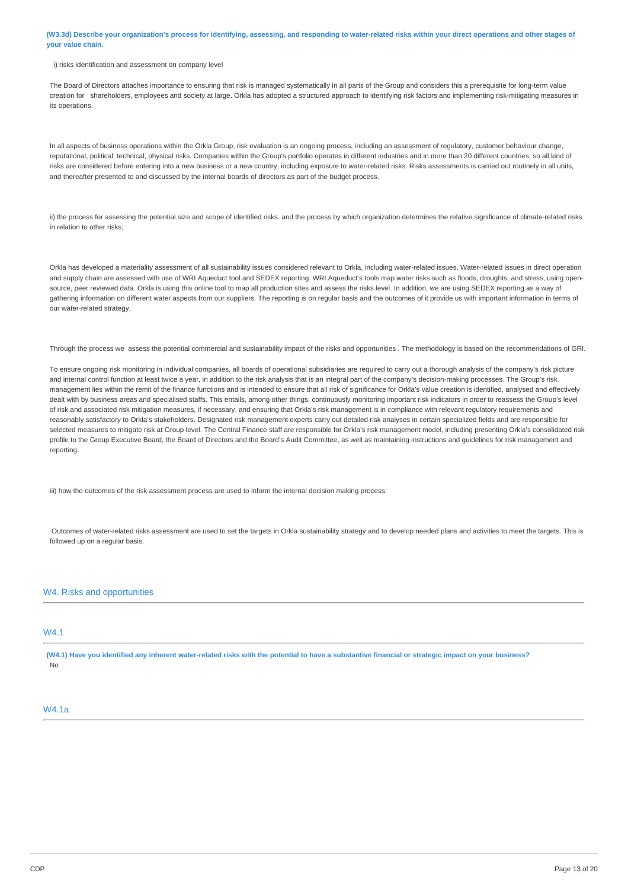(W3.3d) Describe your organization's process for identifying, assessing, and responding to water-related risks within your direct operations and other stages of **your value chain.**

#### i) risks identification and assessment on company level

The Board of Directors attaches importance to ensuring that risk is managed systematically in all parts of the Group and considers this a prerequisite for long-term value creation for shareholders, employees and society at large. Orkla has adopted a structured approach to identifying risk factors and implementing risk-mitigating measures in ite operations.

In all aspects of business operations within the Orkla Group, risk evaluation is an ongoing process, including an assessment of regulatory, customer behaviour change, reputational, political, technical, physical risks. Companies within the Group's portfolio operates in different industries and in more than 20 different countries, so all kind of risks are considered before entering into a new business or a new country, including exposure to water-related risks. Risks assessments is carried out routinely in all units, and thereafter presented to and discussed by the internal boards of directors as part of the budget process.

ii) the process for assessing the potential size and scope of identified risks and the process by which organization determines the relative significance of climate-related risks in relation to other risks;

Orkla has developed a materiality assessment of all sustainability issues considered relevant to Orkla, including water-related issues. Water-related issues in direct operation and supply chain are assessed with use of WRI Aqueduct tool and SEDEX reporting. WRI Aqueduct's tools map water risks such as floods, droughts, and stress, using opensource, peer reviewed data. Orkla is using this online tool to map all production sites and assess the risks level. In addition, we are using SEDEX reporting as a way of gathering information on different water aspects from our suppliers. The reporting is on regular basis and the outcomes of it provide us with important information in terms of our water-related strategy.

Through the process we assess the potential commercial and sustainability impact of the risks and opportunities . The methodology is based on the recommendations of GRI.

To ensure ongoing risk monitoring in individual companies, all boards of operational subsidiaries are required to carry out a thorough analysis of the company's risk picture and internal control function at least twice a year, in addition to the risk analysis that is an integral part of the company's decision-making processes. The Group's risk management lies within the remit of the finance functions and is intended to ensure that all risk of significance for Orkla's value creation is identified, analysed and effectively dealt with by business areas and specialised staffs. This entails, among other things, continuously monitoring important risk indicators in order to reassess the Group's level of risk and associated risk mitigation measures, if necessary, and ensuring that Orkla's risk management is in compliance with relevant regulatory requirements and reasonably satisfactory to Orkla's stakeholders. Designated risk management experts carry out detailed risk analyses in certain specialized fields and are responsible for selected measures to mitigate risk at Group level. The Central Finance staff are responsible for Orkla's risk management model, including presenting Orkla's consolidated risk profile to the Group Executive Board, the Board of Directors and the Board's Audit Committee, as well as maintaining instructions and guidelines for risk management and reporting.

iii) how the outcomes of the risk assessment process are used to inform the internal decision making process:

Outcomes of water-related risks assessment are used to set the targets in Orkla sustainability strategy and to develop needed plans and activities to meet the targets. This is followed up on a regular basis.

## W4. Risks and opportunities

# **W4.1**

(W4.1) Have you identified any inherent water-related risks with the potential to have a substantive financial or strategic impact on your business? No

## W4.1a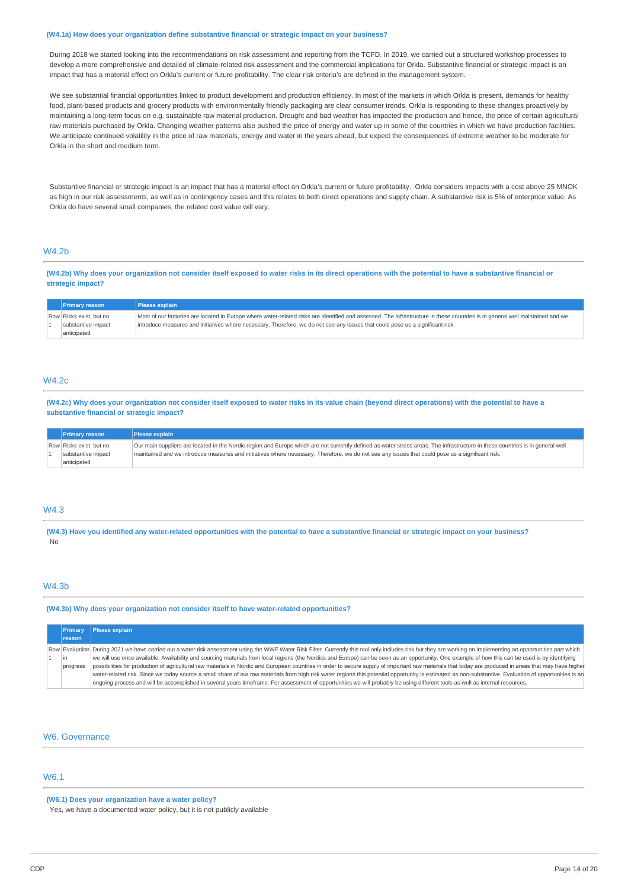#### **(W4.1a) How does your organization define substantive financial or strategic impact on your business?**

During 2018 we started looking into the recommendations on risk assessment and reporting from the TCFD. In 2019, we carried out a structured workshop processes to develop a more comprehensive and detailed of climate-related risk assessment and the commercial implications for Orkla. Substantive financial or strategic impact is an impact that has a material effect on Orkla's current or future profitability. The clear risk criteria's are defined in the management system.

We see substantial financial opportunities linked to product development and production efficiency. In most of the markets in which Orkla is present, demands for healthy food, plant-based products and grocery products with environmentally friendly packaging are clear consumer trends. Orkla is responding to these changes proactively by maintaining a long-term focus on e.g. sustainable raw material production. Drought and bad weather has impacted the production and hence, the price of certain agricultural raw materials purchased by Orkla. Changing weather patterns also pushed the price of energy and water up in some of the countries in which we have production facilities. We anticipate continued volatility in the price of raw materials, energy and water in the years ahead, but expect the consequences of extreme weather to be moderate for Orkla in the short and medium term.

Substantive financial or strategic impact is an impact that has a material effect on Orkla's current or future profitability. Orkla considers impacts with a cost above 25 MNOK as high in our risk assessments, as well as in contingency cases and this relates to both direct operations and supply chain. A substantive risk is 5% of enterprice value. As Orkla do have several small companies, the related cost value will vary.

## **W4.2b**

(W4.2b) Why does your organization not consider itself exposed to water risks in its direct operations with the potential to have a substantive financial or **strategic impact?**

| <b>Primary reason</b>                                        | <b>Please explain</b>                                                                                                                                                                                                                                                                                           |
|--------------------------------------------------------------|-----------------------------------------------------------------------------------------------------------------------------------------------------------------------------------------------------------------------------------------------------------------------------------------------------------------|
| Row Risks exist, but no<br>substantive impact<br>anticipated | Most of our factories are located in Europe where water-related risks are identified and assessed. The infrastructure in these countries is in general well maintained and we<br>introduce measures and initiatives where necessary. Therefore, we do not see any issues that could pose us a significant risk. |

## W4.2c

(W4.2c) Why does your organization not consider itself exposed to water risks in its value chain (beyond direct operations) with the potential to have a **substantive financial or strategic impact?**

| <b>Primary reason</b>                                        | <b>Please explain</b>                                                                                                                                                                                                                                                                                                              |
|--------------------------------------------------------------|------------------------------------------------------------------------------------------------------------------------------------------------------------------------------------------------------------------------------------------------------------------------------------------------------------------------------------|
| Row Risks exist, but no<br>substantive impact<br>anticipated | Our main suppliers are located in the Nordic region and Europe which are not currently defined as water stress areas. The infrastructure in these countries is in general well<br>maintained and we introduce measures and initiatives where necessary. Therefore, we do not see any issues that could pose us a significant risk. |

## W4.3

(W4.3) Have you identified any water-related opportunities with the potential to have a substantive financial or strategic impact on your business? No

## W4.3b

**(W4.3b) Why does your organization not consider itself to have water-related opportunities?**

| <b>Primary</b>  | Please explain                                                                                                                                                                                                                                                                                                                                                                                                                                                                                                                                                                                                                                                                                                                                                                                                                                                                                                                                                                                                            |
|-----------------|---------------------------------------------------------------------------------------------------------------------------------------------------------------------------------------------------------------------------------------------------------------------------------------------------------------------------------------------------------------------------------------------------------------------------------------------------------------------------------------------------------------------------------------------------------------------------------------------------------------------------------------------------------------------------------------------------------------------------------------------------------------------------------------------------------------------------------------------------------------------------------------------------------------------------------------------------------------------------------------------------------------------------|
| <b>reason</b>   |                                                                                                                                                                                                                                                                                                                                                                                                                                                                                                                                                                                                                                                                                                                                                                                                                                                                                                                                                                                                                           |
| lin<br>progress | Row Evaluation During 2021 we have carried out a water risk assessment using the WWF Water Risk Filter. Currently this tool only includes risk but they are working on implementing an opportunities part which<br>we will use once available. Availability and sourcing materials from local regions (the Nordics and Europe) can be seen as an opportunity. One example of how this can be used is by identifying<br>possibilities for production of agricultural raw materials in Nordic and European countries in order to secure supply of important raw materials that today are produced in areas that may have higher<br>water-related risk. Since we today source a small share of our raw materials from high risk water regions this potential opportunity is estimated as non-substantive. Evaluation of opportunities is an<br>ongoing process and will be accomplished in several years timeframe. For assessment of opportunities we will probably be using different tools as well as internal resources. |

#### W6. Governance

## W6.1

**(W6.1) Does your organization have a water policy?**

Yes, we have a documented water policy, but it is not publicly available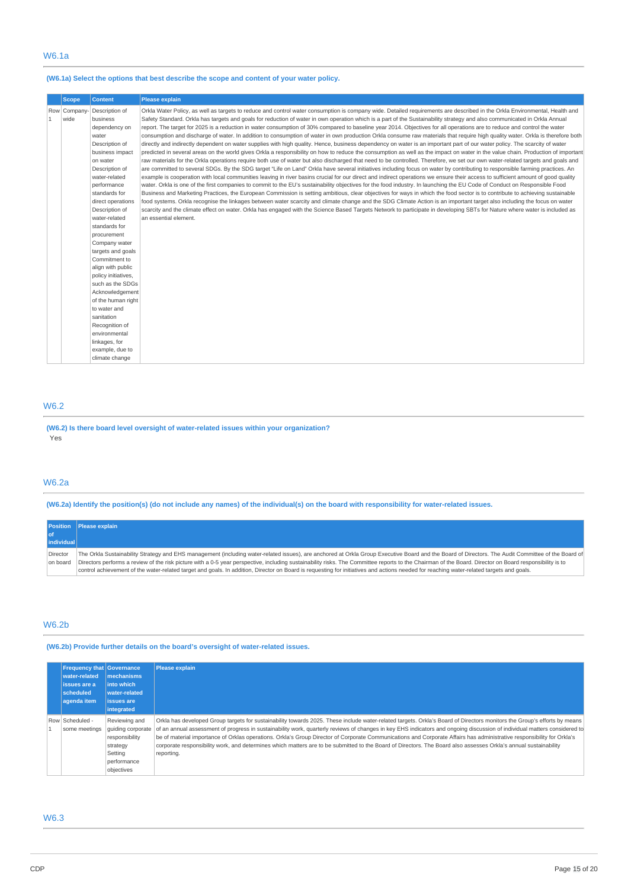## **(W6.1a) Select the options that best describe the scope and content of your water policy.**

|              | <b>Scope</b>         | <b>Content</b>                                                                                                                                                                                                                                                                                                                               | <b>Please explain</b>                                                                                                                                                                                                                                                                                                                                                                                                                                                                                                                                                                                                                                                                                                                                                                                                                                                                                                                                                                                                                                                                                                                                                                                                                                                                                                                                                                                                                                                                                                                                                                                                                                                                                                                                                                                                                                                                                                                                                                                                                                                                                                                                                                                                                                                                                                                                                                         |
|--------------|----------------------|----------------------------------------------------------------------------------------------------------------------------------------------------------------------------------------------------------------------------------------------------------------------------------------------------------------------------------------------|-----------------------------------------------------------------------------------------------------------------------------------------------------------------------------------------------------------------------------------------------------------------------------------------------------------------------------------------------------------------------------------------------------------------------------------------------------------------------------------------------------------------------------------------------------------------------------------------------------------------------------------------------------------------------------------------------------------------------------------------------------------------------------------------------------------------------------------------------------------------------------------------------------------------------------------------------------------------------------------------------------------------------------------------------------------------------------------------------------------------------------------------------------------------------------------------------------------------------------------------------------------------------------------------------------------------------------------------------------------------------------------------------------------------------------------------------------------------------------------------------------------------------------------------------------------------------------------------------------------------------------------------------------------------------------------------------------------------------------------------------------------------------------------------------------------------------------------------------------------------------------------------------------------------------------------------------------------------------------------------------------------------------------------------------------------------------------------------------------------------------------------------------------------------------------------------------------------------------------------------------------------------------------------------------------------------------------------------------------------------------------------------------|
| $\mathbf{1}$ | Row Company-<br>wide | Description of<br>business<br>dependency on<br>water<br>Description of<br>business impact<br>on water<br>Description of<br>water-related<br>performance<br>standards for<br>direct operations<br>Description of<br>water-related<br>standards for<br>procurement<br>Company water<br>targets and goals<br>Commitment to<br>align with public | Orkla Water Policy, as well as targets to reduce and control water consumption is company wide. Detailed requirements are described in the Orkla Environmental, Health and<br>Safety Standard. Orkla has targets and goals for reduction of water in own operation which is a part of the Sustainability strategy and also communicated in Orkla Annual<br>report. The target for 2025 is a reduction in water consumption of 30% compared to baseline year 2014. Objectives for all operations are to reduce and control the water<br>consumption and discharge of water. In addition to consumption of water in own production Orkla consume raw materials that require high quality water. Orkla is therefore both<br>directly and indirectly dependent on water supplies with high quality. Hence, business dependency on water is an important part of our water policy. The scarcity of water<br>predicted in several areas on the world gives Orkla a responsibility on how to reduce the consumption as well as the impact on water in the value chain. Production of important<br>raw materials for the Orkla operations require both use of water but also discharged that need to be controlled. Therefore, we set our own water-related targets and goals and<br>are committed to several SDGs. By the SDG target "Life on Land" Orkla have several initiatives including focus on water by contributing to responsible farming practices. An<br>example is cooperation with local communities leaving in river basins crucial for our direct and indirect operations we ensure their access to sufficient amount of good quality<br>water. Orkla is one of the first companies to commit to the EU's sustainability objectives for the food industry. In launching the EU Code of Conduct on Responsible Food<br>Business and Marketing Practices, the European Commission is setting ambitious, clear objectives for ways in which the food sector is to contribute to achieving sustainable<br>food systems. Orkla recognise the linkages between water scarcity and climate change and the SDG Climate Action is an important target also including the focus on water<br>scarcity and the climate effect on water. Orkla has engaged with the Science Based Targets Network to participate in developing SBTs for Nature where water is included as<br>an essential element. |
|              |                      | policy initiatives,                                                                                                                                                                                                                                                                                                                          |                                                                                                                                                                                                                                                                                                                                                                                                                                                                                                                                                                                                                                                                                                                                                                                                                                                                                                                                                                                                                                                                                                                                                                                                                                                                                                                                                                                                                                                                                                                                                                                                                                                                                                                                                                                                                                                                                                                                                                                                                                                                                                                                                                                                                                                                                                                                                                                               |
|              |                      | such as the SDGs<br>Acknowledgement                                                                                                                                                                                                                                                                                                          |                                                                                                                                                                                                                                                                                                                                                                                                                                                                                                                                                                                                                                                                                                                                                                                                                                                                                                                                                                                                                                                                                                                                                                                                                                                                                                                                                                                                                                                                                                                                                                                                                                                                                                                                                                                                                                                                                                                                                                                                                                                                                                                                                                                                                                                                                                                                                                                               |
|              |                      | of the human right<br>to water and<br>sanitation                                                                                                                                                                                                                                                                                             |                                                                                                                                                                                                                                                                                                                                                                                                                                                                                                                                                                                                                                                                                                                                                                                                                                                                                                                                                                                                                                                                                                                                                                                                                                                                                                                                                                                                                                                                                                                                                                                                                                                                                                                                                                                                                                                                                                                                                                                                                                                                                                                                                                                                                                                                                                                                                                                               |
|              |                      | Recognition of<br>environmental                                                                                                                                                                                                                                                                                                              |                                                                                                                                                                                                                                                                                                                                                                                                                                                                                                                                                                                                                                                                                                                                                                                                                                                                                                                                                                                                                                                                                                                                                                                                                                                                                                                                                                                                                                                                                                                                                                                                                                                                                                                                                                                                                                                                                                                                                                                                                                                                                                                                                                                                                                                                                                                                                                                               |
|              |                      | linkages, for<br>example, due to<br>climate change                                                                                                                                                                                                                                                                                           |                                                                                                                                                                                                                                                                                                                                                                                                                                                                                                                                                                                                                                                                                                                                                                                                                                                                                                                                                                                                                                                                                                                                                                                                                                                                                                                                                                                                                                                                                                                                                                                                                                                                                                                                                                                                                                                                                                                                                                                                                                                                                                                                                                                                                                                                                                                                                                                               |

#### W6.2

**(W6.2) Is there board level oversight of water-related issues within your organization?** Yes

## W6.2a

(W6.2a) Identify the position(s) (do not include any names) of the individual(s) on the board with responsibility for water-related issues.

**Position of individu Please explain** Director on board The Orkla Sustainability Strategy and EHS management (including water-related issues), are anchored at Orkla Group Executive Board and the Board of Directors. The Audit Committee of the Board of Directors performs a review of the risk picture with a 0-5 year perspective, including sustainability risks. The Committee reports to the Chairman of the Board. Director on Board responsibility is to control achievement of the water-related target and goals. In addition, Director on Board is requesting for initiatives and actions needed for reaching water-related targets and goals.

## W6.2b

**(W6.2b) Provide further details on the board's oversight of water-related issues.**

| <b>Frequency that Governance</b><br>water-related<br>issues are a<br>scheduled<br>agenda item | <b>Imechanisms</b><br>into which<br><b>water-related</b><br><b>issues</b> are<br>integrated              | <b>Please explain</b>                                                                                                                                                                                                                                                                                                                                                                                                                                                                                                                                                                                                                                                                                             |  |
|-----------------------------------------------------------------------------------------------|----------------------------------------------------------------------------------------------------------|-------------------------------------------------------------------------------------------------------------------------------------------------------------------------------------------------------------------------------------------------------------------------------------------------------------------------------------------------------------------------------------------------------------------------------------------------------------------------------------------------------------------------------------------------------------------------------------------------------------------------------------------------------------------------------------------------------------------|--|
| Row Scheduled -<br>some meetings                                                              | Reviewing and<br>quiding corporate<br>responsibility<br>strategy<br>Setting<br>performance<br>objectives | Orkla has developed Group targets for sustainability towards 2025. These include water-related targets. Orkla's Board of Directors monitors the Group's efforts by means<br>of an annual assessment of progress in sustainability work, quarterly reviews of changes in key EHS indicators and ongoing discussion of individual matters considered to<br>be of material importance of Orklas operations. Orkla's Group Director of Corporate Communications and Corporate Affairs has administrative responsibility for Orkla's<br>corporate responsibility work, and determines which matters are to be submitted to the Board of Directors. The Board also assesses Orkla's annual sustainability<br>reporting. |  |

## W6.3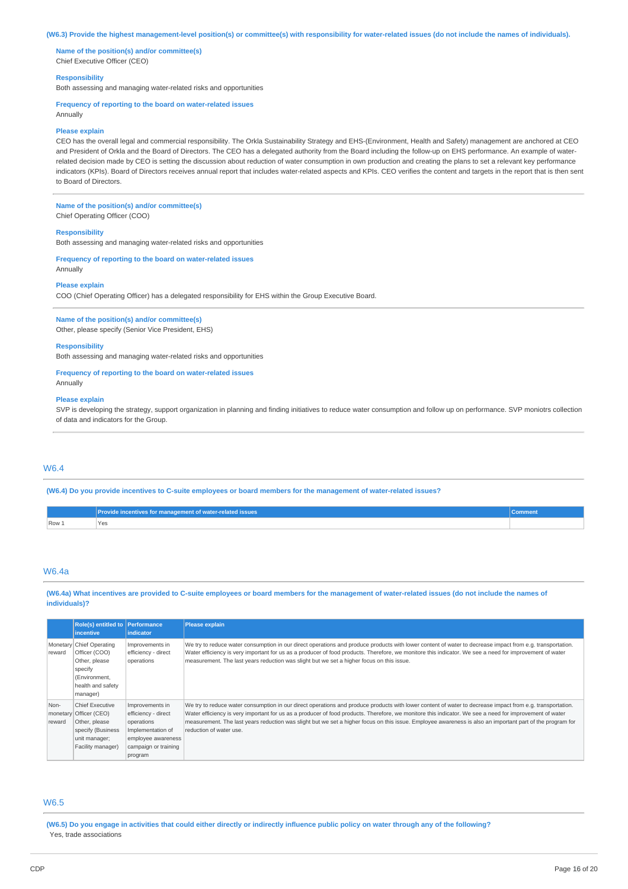#### (W6.3) Provide the highest management-level position(s) or committee(s) with responsibility for water-related issues (do not include the names of individuals).

**Name of the position(s) and/or committee(s)** Chief Executive Officer (CEO)

#### **Responsibility**

Both assessing and managing water-related risks and opportunities

#### **Frequency of reporting to the board on water-related issues**

Annually

#### **Please explain**

CEO has the overall legal and commercial responsibility. The Orkla Sustainability Strategy and EHS-(Environment, Health and Safety) management are anchored at CEO and President of Orkla and the Board of Directors. The CEO has a delegated authority from the Board including the follow-up on EHS performance. An example of waterrelated decision made by CEO is setting the discussion about reduction of water consumption in own production and creating the plans to set a relevant key performance indicators (KPIs). Board of Directors receives annual report that includes water-related aspects and KPIs. CEO verifies the content and targets in the report that is then sent to Board of Directors.

# **Name of the position(s) and/or committee(s)**

Chief Operating Officer (COO)

#### **Responsibility**

Both assessing and managing water-related risks and opportunities

### **Frequency of reporting to the board on water-related issues** Annually

#### **Please explain**

COO (Chief Operating Officer) has a delegated responsibility for EHS within the Group Executive Board.

#### **Name of the position(s) and/or committee(s)**

Other, please specify (Senior Vice President, EHS)

#### **Responsibility**

Both assessing and managing water-related risks and opportunities

## **Frequency of reporting to the board on water-related issues**

Annually

#### **Please explain**

SVP is developing the strategy, support organization in planning and finding initiatives to reduce water consumption and follow up on performance. SVP moniotrs collection of data and indicators for the Group.

# W6.4

## (W6.4) Do you provide incentives to C-suite employees or board members for the management of water-related issues?

|       | $\blacktriangleright$ rovide incentives for management of water-related issues | *Commen. |
|-------|--------------------------------------------------------------------------------|----------|
| Row 1 | <b>Yes</b>                                                                     |          |

## W6.4a

(W6.4a) What incentives are provided to C-suite employees or board members for the management of water-related issues (do not include the names of **individuals)?**

|                            | <b>Role(s)</b> entitled to <b>Performance</b><br><i>incentive</i>                                                       | <i>indicator</i>                                                                                                                   | <b>Please explain</b>                                                                                                                                                                                                                                                                                                                                                                                                                                                                                        |
|----------------------------|-------------------------------------------------------------------------------------------------------------------------|------------------------------------------------------------------------------------------------------------------------------------|--------------------------------------------------------------------------------------------------------------------------------------------------------------------------------------------------------------------------------------------------------------------------------------------------------------------------------------------------------------------------------------------------------------------------------------------------------------------------------------------------------------|
| reward                     | Monetary Chief Operating<br>Officer (COO)<br>Other, please<br>specify<br>(Environment,<br>health and safety<br>manager) | Improvements in<br>efficiency - direct<br>operations                                                                               | We try to reduce water consumption in our direct operations and produce products with lower content of water to decrease impact from e.g. transportation.<br>Water efficiency is very important for us as a producer of food products. Therefore, we monitore this indicator. We see a need for improvement of water<br>measurement. The last years reduction was slight but we set a higher focus on this issue.                                                                                            |
| Non-<br>monetary<br>reward | <b>Chief Executive</b><br>Officer (CEO)<br>Other, please<br>specify (Business<br>unit manager;<br>Facility manager)     | Improvements in<br>efficiency - direct<br>operations<br>Implementation of<br>employee awareness<br>campaign or training<br>program | We try to reduce water consumption in our direct operations and produce products with lower content of water to decrease impact from e.g. transportation.<br>Water efficiency is very important for us as a producer of food products. Therefore, we monitore this indicator. We see a need for improvement of water<br>measurement. The last years reduction was slight but we set a higher focus on this issue. Employee awareness is also an important part of the program for<br>reduction of water use. |

# W6.5

(W6.5) Do you engage in activities that could either directly or indirectly influence public policy on water through any of the following? Yes, trade associations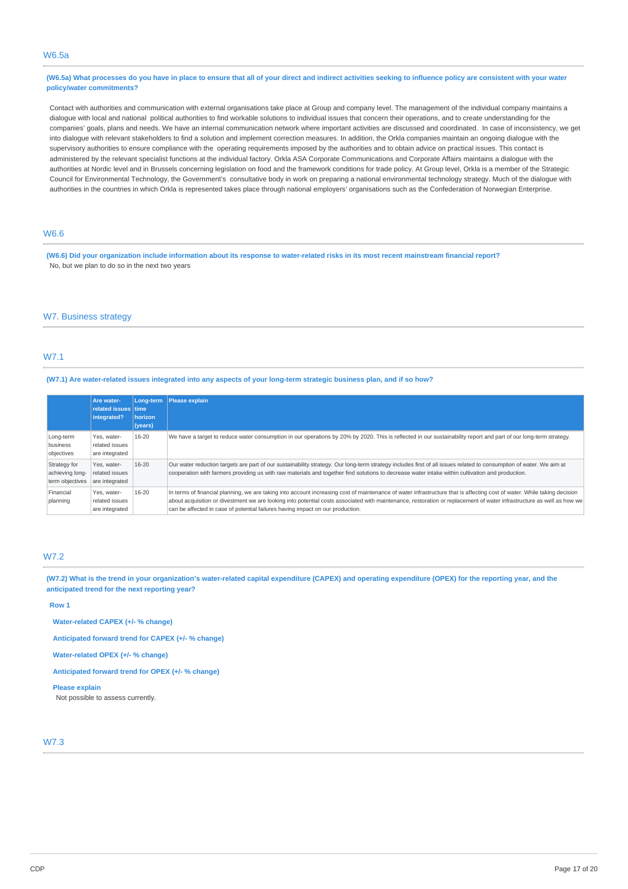## W6.5a

## (W6.5a) What processes do you have in place to ensure that all of your direct and indirect activities seeking to influence policy are consistent with your water **policy/water commitments?**

Contact with authorities and communication with external organisations take place at Group and company level. The management of the individual company maintains a dialogue with local and national political authorities to find workable solutions to individual issues that concern their operations, and to create understanding for the companies' goals, plans and needs. We have an internal communication network where important activities are discussed and coordinated. In case of inconsistency, we get into dialogue with relevant stakeholders to find a solution and implement correction measures. In addition, the Orkla companies maintain an ongoing dialogue with the supervisory authorities to ensure compliance with the operating requirements imposed by the authorities and to obtain advice on practical issues. This contact is administered by the relevant specialist functions at the individual factory. Orkla ASA Corporate Communications and Corporate Affairs maintains a dialogue with the authorities at Nordic level and in Brussels concerning legislation on food and the framework conditions for trade policy. At Group level, Orkla is a member of the Strategic Council for Environmental Technology, the Government's consultative body in work on preparing a national environmental technology strategy. Much of the dialogue with authorities in the countries in which Orkla is represented takes place through national employers' organisations such as the Confederation of Norwegian Enterprise.

## W6.6

(W6.6) Did your organization include information about its response to water-related risks in its most recent mainstream financial report? No, but we plan to do so in the next two years

## W7. Business strategy

# W7.1

### (W7.1) Are water-related issues integrated into any aspects of your long-term strategic business plan, and if so how?

|                                                    | <b>Are water-</b><br>related issues time<br>integrated? | Long-term<br>horizon<br>(years) | Please explain                                                                                                                                                                                                                                                                                                                                                                                                                      |
|----------------------------------------------------|---------------------------------------------------------|---------------------------------|-------------------------------------------------------------------------------------------------------------------------------------------------------------------------------------------------------------------------------------------------------------------------------------------------------------------------------------------------------------------------------------------------------------------------------------|
| Long-term<br>business<br>objectives                | Yes, water-<br>related issues<br>are integrated         | 16-20                           | We have a target to reduce water consumption in our operations by 20% by 2020. This is reflected in our sustainability report and part of our long-term strategy.                                                                                                                                                                                                                                                                   |
| Strategy for<br>achieving long-<br>term objectives | Yes, water-<br>related issues<br>are integrated         | 16-20                           | Our water reduction targets are part of our sustainability strategy. Our long-term strategy includes first of all issues related to consumption of water. We aim at<br>cooperation with farmers providing us with raw materials and together find solutions to decrease water intake within cultivation and production.                                                                                                             |
| Financial<br>planning                              | Yes, water-<br>related issues<br>are integrated         | 16-20                           | In terms of financial planning, we are taking into account increasing cost of maintenance of water infrastructure that is affecting cost of water. While taking decision<br>about acquisition or divestment we are looking into potential costs associated with maintenance, restoration or replacement of water infrastructure as well as how we<br>can be affected in case of potential failures having impact on our production. |

## W7.2

(W7.2) What is the trend in your organization's water-related capital expenditure (CAPEX) and operating expenditure (OPEX) for the reporting year, and the **anticipated trend for the next reporting year?**

#### **Row 1**

**Water-related CAPEX (+/- % change)**

**Anticipated forward trend for CAPEX (+/- % change)**

**Water-related OPEX (+/- % change)**

**Anticipated forward trend for OPEX (+/- % change)**

#### **Please explain**

Not possible to assess currently.

## W7.3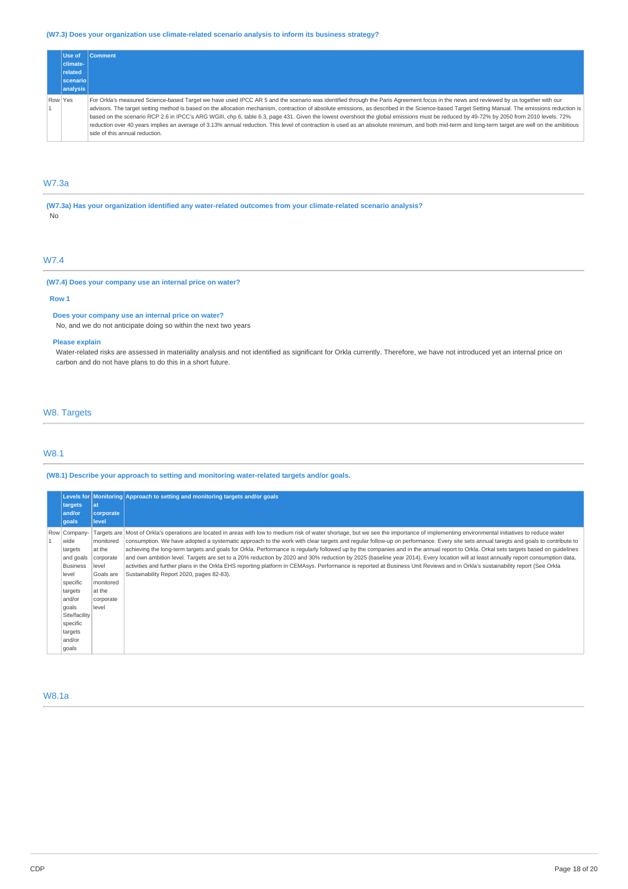## **(W7.3) Does your organization use climate-related scenario analysis to inform its business strategy?**

|         | Use of    | <b>Comment</b>                                                                                                                                                                                                                                                                                                                                                                                                                                                                                                                                                                                                                                                                                                                                                                                                          |
|---------|-----------|-------------------------------------------------------------------------------------------------------------------------------------------------------------------------------------------------------------------------------------------------------------------------------------------------------------------------------------------------------------------------------------------------------------------------------------------------------------------------------------------------------------------------------------------------------------------------------------------------------------------------------------------------------------------------------------------------------------------------------------------------------------------------------------------------------------------------|
|         | climate-  |                                                                                                                                                                                                                                                                                                                                                                                                                                                                                                                                                                                                                                                                                                                                                                                                                         |
|         | related   |                                                                                                                                                                                                                                                                                                                                                                                                                                                                                                                                                                                                                                                                                                                                                                                                                         |
|         | scenariol |                                                                                                                                                                                                                                                                                                                                                                                                                                                                                                                                                                                                                                                                                                                                                                                                                         |
|         | analysis  |                                                                                                                                                                                                                                                                                                                                                                                                                                                                                                                                                                                                                                                                                                                                                                                                                         |
| Row Yes |           | For Orkla's measured Science-based Target we have used IPCC AR 5 and the scenario was identified through the Paris Agreement focus in the news and reviewed by us together with our<br>advisors. The target setting method is based on the allocation mechanism, contraction of absolute emissions, as described in the Science-based Target Setting Manual. The emissions reduction is<br>based on the scenario RCP 2.6 in IPCC's ARG WGIII, chp 6, table 6.3, page 431. Given the lowest overshoot the global emissions must be reduced by 49-72% by 2050 from 2010 levels. 72%<br>reduction over 40 years implies an average of 3.13% annual reduction. This level of contraction is used as an absolute minimum, and both mid-term and long-term target are well on the ambitious<br>side of this annual reduction. |

# W7.3a

**(W7.3a) Has your organization identified any water-related outcomes from your climate-related scenario analysis?**

No

# W7.4

# **(W7.4) Does your company use an internal price on water?**

## **Row 1**

#### **Does your company use an internal price on water?**

No, and we do not anticipate doing so within the next two years

## **Please explain**

Water-related risks are assessed in materiality analysis and not identified as significant for Orkla currently. Therefore, we have not introduced yet an internal price on carbon and do not have plans to do this in a short future.

# W8. Targets

## W8.1

## **(W8.1) Describe your approach to setting and monitoring water-related targets and/or goals.**

| targets<br>and/or<br>goals                                                                                                                                                    | at<br>corporate<br>level                                                                            | Levels for Monitoring Approach to setting and monitoring targets and/or goals                                                                                                                                                                                                                                                                                                                                                                                                                                                                                                                                                                                                                                                                                                                                                                                                                                                                                                              |
|-------------------------------------------------------------------------------------------------------------------------------------------------------------------------------|-----------------------------------------------------------------------------------------------------|--------------------------------------------------------------------------------------------------------------------------------------------------------------------------------------------------------------------------------------------------------------------------------------------------------------------------------------------------------------------------------------------------------------------------------------------------------------------------------------------------------------------------------------------------------------------------------------------------------------------------------------------------------------------------------------------------------------------------------------------------------------------------------------------------------------------------------------------------------------------------------------------------------------------------------------------------------------------------------------------|
| Row Company-<br>wide<br>targets<br>and goals<br><b>Business</b><br>level<br>specific<br>targets<br>and/or<br>goals<br>Site/facility<br>specific<br>targets<br>and/or<br>goals | monitored<br>at the<br>corporate<br>level<br>Goals are<br>monitored<br>at the<br>corporate<br>level | Targets are Most of Orkla's operations are located in areas with low to medium risk of water shortage, but we see the importance of implementing environmental initiatives to reduce water<br>consumption. We have adopted a systematic approach to the work with clear targets and regular follow-up on performance. Every site sets annual taregts and goals to contribute to<br>achieving the long-term targets and goals for Orkla. Performance is regularly followed up by the companies and in the annual report to Orkla. Orkal sets targets based on quidelines<br>and own ambition level. Targets are set to a 20% reduction by 2020 and 30% reduction by 2025 (baseline year 2014). Every location will at least annually report consumption data,<br>activities and further plans in the Orkla EHS reporting platform in CEMAsys. Performance is reported at Business Unit Reviews and in Orkla's sustainability report (See Orkla<br>Sustainability Report 2020, pages 82-83). |

W8.1a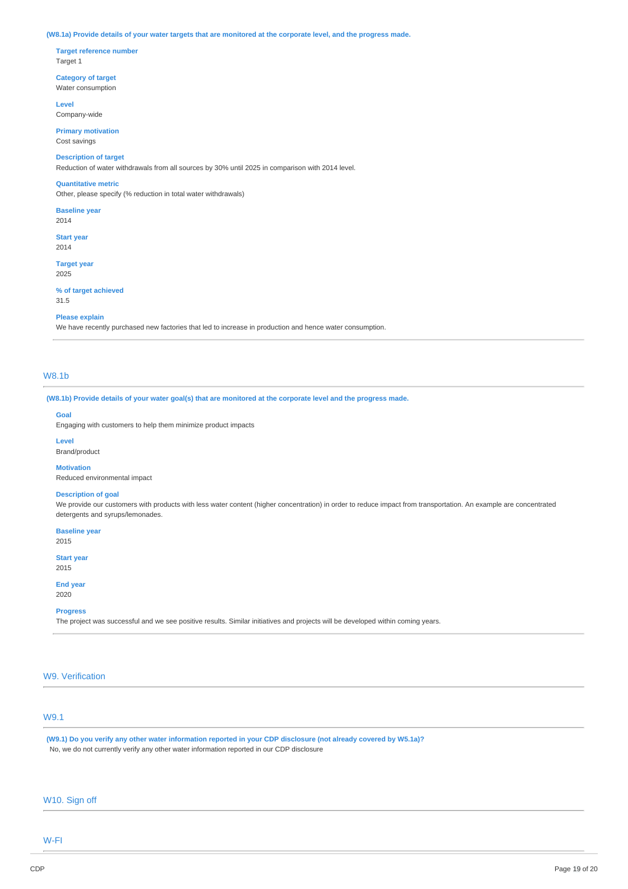#### (W8.1a) Provide details of your water targets that are monitored at the corporate level, and the progress made.

**Target reference number** Target 1

**Category of target** Water consumption

**Level** Company-wide

**Primary motivation** Cost savings

## **Description of target**

Reduction of water withdrawals from all sources by 30% until 2025 in comparison with 2014 level.

#### **Quantitative metric**

Other, please specify (% reduction in total water withdrawals)

**Baseline year**

2014

**Start year** 2014

**Target year** 2025

**% of target achieved**

31.5

#### **Please explain**

We have recently purchased new factories that led to increase in production and hence water consumption.

## W8.1b

(W8.1b) Provide details of your water goal(s) that are monitored at the corporate level and the progress made.

## **Goal**

Engaging with customers to help them minimize product impacts

#### **Level**

Brand/product

## **Motivation**

Reduced environmental impact

#### **Description of goal**

We provide our customers with products with less water content (higher concentration) in order to reduce impact from transportation. An example are concentrated detergents and syrups/lemonades.

**Baseline year**

2015

**Start year** 2015

**End year**

2020

## **Progress**

The project was successful and we see positive results. Similar initiatives and projects will be developed within coming years.

# W9. Verification

# W9.1

(W9.1) Do you verify any other water information reported in your CDP disclosure (not already covered by W5.1a)? No, we do not currently verify any other water information reported in our CDP disclosure

# W10. Sign off

W-FI